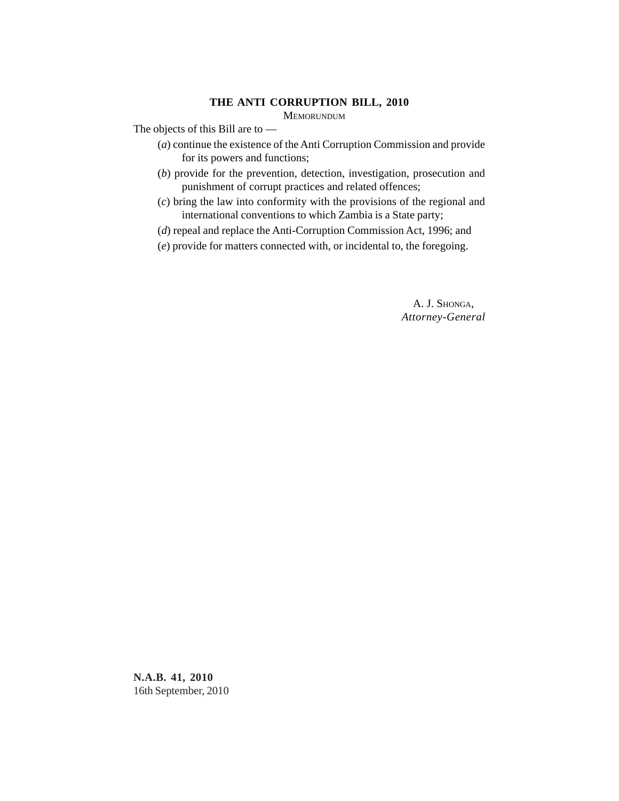## **THE ANTI CORRUPTION BILL, 2010**

MEMORUNDUM

The objects of this Bill are to —

- (*a*) continue the existence of the Anti Corruption Commission and provide for its powers and functions;
- (*b*) provide for the prevention, detection, investigation, prosecution and punishment of corrupt practices and related offences;
- (*c*) bring the law into conformity with the provisions of the regional and international conventions to which Zambia is a State party;
- (*d*) repeal and replace the Anti-Corruption Commission Act, 1996; and
- (*e*) provide for matters connected with, or incidental to, the foregoing.

A. J. SHONGA, *Attorney-General*

**N.A.B. 41, 2010** 16th September, 2010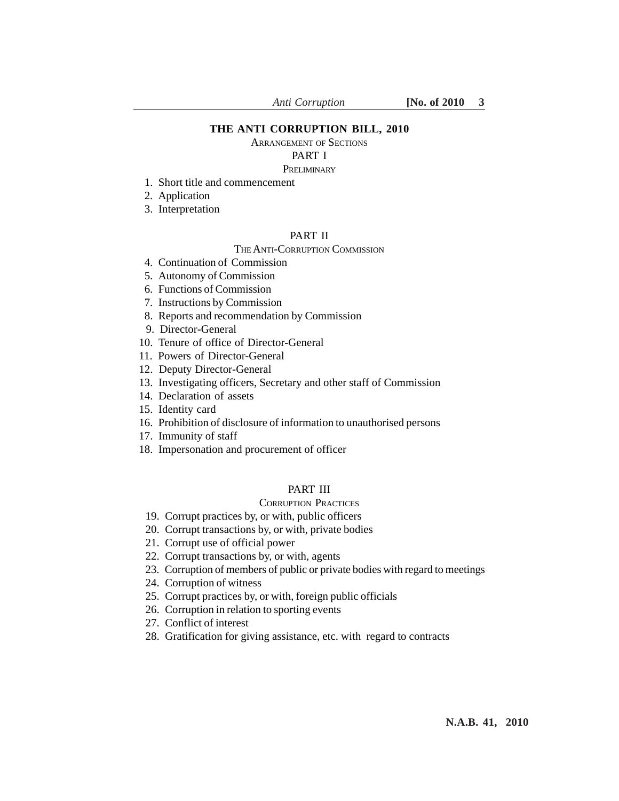## **THE ANTI CORRUPTION BILL, 2010**

ARRANGEMENT OF SECTIONS

# PART I

### PRELIMINARY

- 1. Short title and commencement
- 2. Application
- 3. Interpretation

## PART II

#### THE ANTI-CORRUPTION COMMISSION

- 4. Continuation of Commission
- 5. Autonomy of Commission
- 6. Functions of Commission
- 7. Instructions by Commission
- 8. Reports and recommendation by Commission
- 9. Director-General
- 10. Tenure of office of Director-General
- 11. Powers of Director-General
- 12. Deputy Director-General
- 13. Investigating officers, Secretary and other staff of Commission
- 14. Declaration of assets
- 15. Identity card
- 16. Prohibition of disclosure of information to unauthorised persons
- 17. Immunity of staff
- 18. Impersonation and procurement of officer

## PART III

## CORRUPTION PRACTICES

- 19. Corrupt practices by, or with, public officers
- 20. Corrupt transactions by, or with, private bodies
- 21. Corrupt use of official power
- 22. Corrupt transactions by, or with, agents
- 23. Corruption of members of public or private bodies with regard to meetings
- 24. Corruption of witness
- 25. Corrupt practices by, or with, foreign public officials
- 26. Corruption in relation to sporting events
- 27. Conflict of interest
- 28. Gratification for giving assistance, etc. with regard to contracts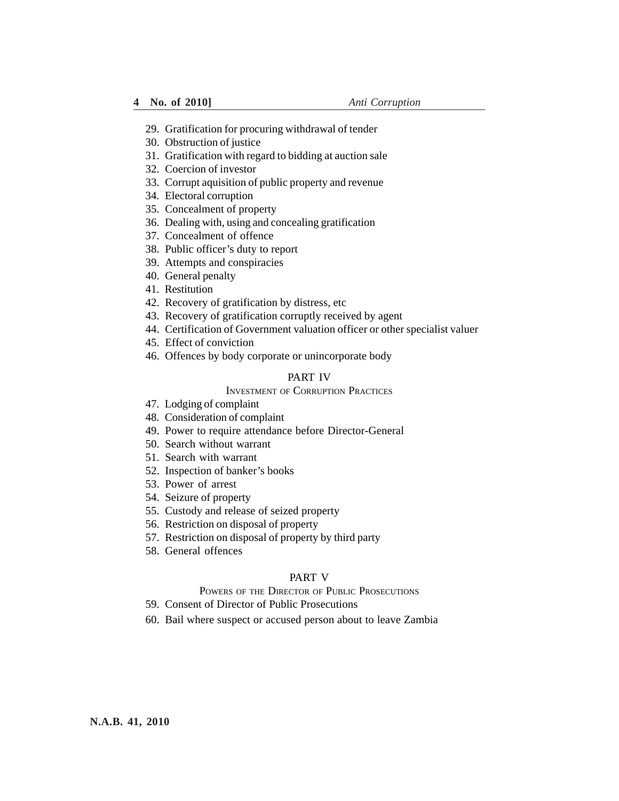- 29. Gratification for procuring withdrawal of tender
- 30. Obstruction of justice
- 31. Gratification with regard to bidding at auction sale
- 32. Coercion of investor
- 33. Corrupt aquisition of public property and revenue
- 34. Electoral corruption
- 35. Concealment of property
- 36. Dealing with, using and concealing gratification
- 37. Concealment of offence
- 38. Public officer's duty to report
- 39. Attempts and conspiracies
- 40. General penalty
- 41. Restitution
- 42. Recovery of gratification by distress, etc
- 43. Recovery of gratification corruptly received by agent
- 44. Certification of Government valuation officer or other specialist valuer
- 45. Effect of conviction
- 46. Offences by body corporate or unincorporate body

## PART IV

# INVESTMENT OF CORRUPTION PRACTICES

- 47. Lodging of complaint
- 48. Consideration of complaint
- 49. Power to require attendance before Director-General
- 50. Search without warrant
- 51. Search with warrant
- 52. Inspection of banker's books
- 53. Power of arrest
- 54. Seizure of property
- 55. Custody and release of seized property
- 56. Restriction on disposal of property
- 57. Restriction on disposal of property by third party
- 58. General offences

#### PART V

## POWERS OF THE DIRECTOR OF PUBLIC PROSECUTIONS

- 59. Consent of Director of Public Prosecutions
- 60. Bail where suspect or accused person about to leave Zambia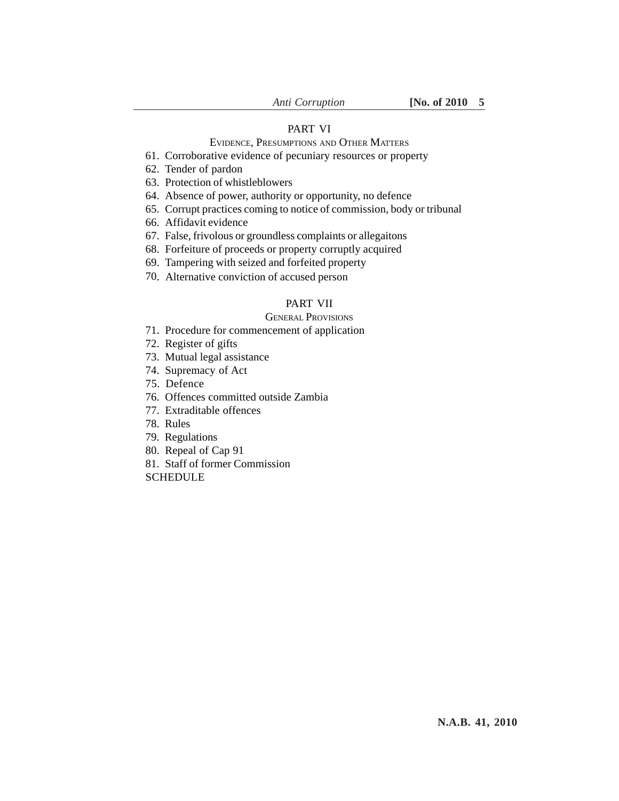## PART VI

# EVIDENCE, PRESUMPTIONS AND OTHER MATTERS

- 61. Corroborative evidence of pecuniary resources or property
- 62. Tender of pardon
- 63. Protection of whistleblowers
- 64. Absence of power, authority or opportunity, no defence
- 65. Corrupt practices coming to notice of commission, body or tribunal
- 66. Affidavit evidence
- 67. False, frivolous or groundless complaints or allegaitons
- 68. Forfeiture of proceeds or property corruptly acquired
- 69. Tampering with seized and forfeited property
- 70. Alternative conviction of accused person

## PART VII

# GENERAL PROVISIONS

- 71. Procedure for commencement of application
- 72. Register of gifts
- 73. Mutual legal assistance
- 74. Supremacy of Act
- 75. Defence
- 76. Offences committed outside Zambia
- 77. Extraditable offences
- 78. Rules
- 79. Regulations
- 80. Repeal of Cap 91
- 81. Staff of former Commission
- **SCHEDULE**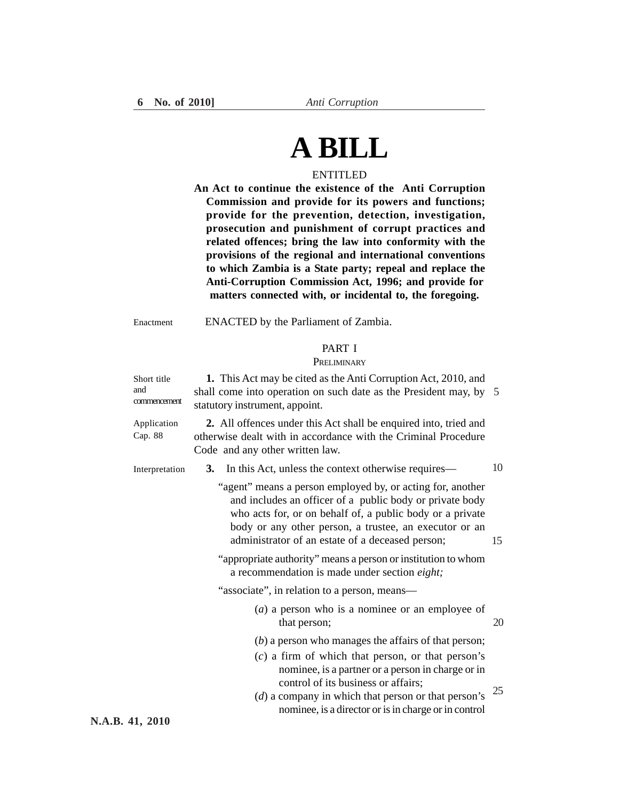# **A BILL**

# ENTITLED

**An Act to continue the existence of the Anti Corruption Commission and provide for its powers and functions; provide for the prevention, detection, investigation, prosecution and punishment of corrupt practices and related offences; bring the law into conformity with the provisions of the regional and international conventions to which Zambia is a State party; repeal and replace the Anti-Corruption Commission Act, 1996; and provide for matters connected with, or incidental to, the foregoing.**

ENACTED by the Parliament of Zambia. Enactment

#### PART I

#### **PRELIMINARY**

| Short title<br>and<br>commencement | 1. This Act may be cited as the Anti Corruption Act, 2010, and<br>shall come into operation on such date as the President may, by 5<br>statutory instrument, appoint.                                                                                                                             |    |
|------------------------------------|---------------------------------------------------------------------------------------------------------------------------------------------------------------------------------------------------------------------------------------------------------------------------------------------------|----|
| Application<br>Cap. 88             | 2. All offences under this Act shall be enquired into, tried and<br>otherwise dealt with in accordance with the Criminal Procedure<br>Code and any other written law.                                                                                                                             |    |
| Interpretation                     | In this Act, unless the context otherwise requires—<br>3.                                                                                                                                                                                                                                         | 10 |
|                                    | "agent" means a person employed by, or acting for, another<br>and includes an officer of a public body or private body<br>who acts for, or on behalf of, a public body or a private<br>body or any other person, a trustee, an executor or an<br>administrator of an estate of a deceased person; | 15 |
|                                    | "appropriate authority" means a person or institution to whom<br>a recommendation is made under section eight;                                                                                                                                                                                    |    |
|                                    | "associate", in relation to a person, means—                                                                                                                                                                                                                                                      |    |
|                                    | $(a)$ a person who is a nominee or an employee of<br>that person;                                                                                                                                                                                                                                 | 20 |
|                                    | $(b)$ a person who manages the affairs of that person;                                                                                                                                                                                                                                            |    |
|                                    | $(c)$ a firm of which that person, or that person's<br>nominee, is a partner or a person in charge or in<br>control of its business or affairs;<br>$(d)$ a company in which that person or that person's<br>nominee, is a director or is in charge or in control                                  | 25 |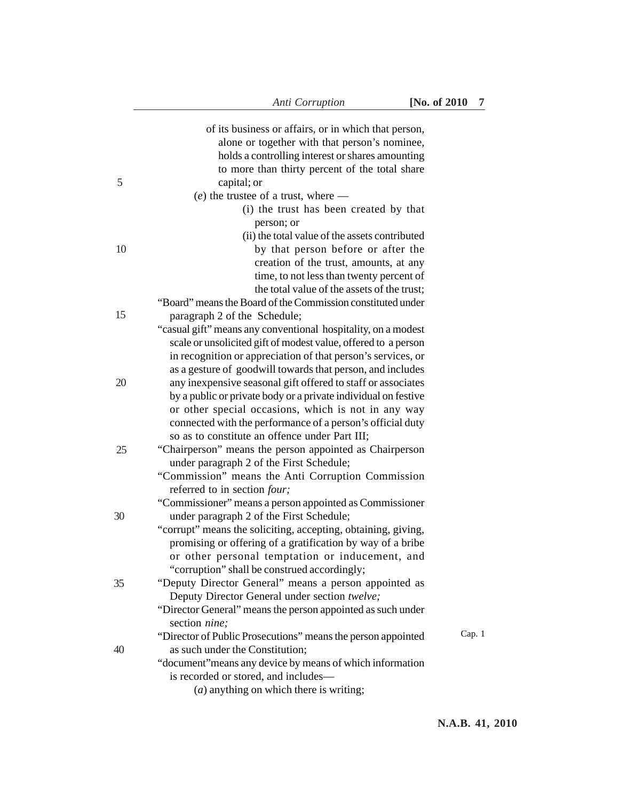|    | of its business or affairs, or in which that person,<br>alone or together with that person's nominee,<br>holds a controlling interest or shares amounting |        |
|----|-----------------------------------------------------------------------------------------------------------------------------------------------------------|--------|
| 5  | to more than thirty percent of the total share<br>capital; or                                                                                             |        |
|    | $(e)$ the trustee of a trust, where —                                                                                                                     |        |
|    | (i) the trust has been created by that                                                                                                                    |        |
|    | person; or                                                                                                                                                |        |
| 10 | (ii) the total value of the assets contributed<br>by that person before or after the                                                                      |        |
|    | creation of the trust, amounts, at any                                                                                                                    |        |
|    | time, to not less than twenty percent of                                                                                                                  |        |
|    | the total value of the assets of the trust;                                                                                                               |        |
|    | "Board" means the Board of the Commission constituted under                                                                                               |        |
| 15 | paragraph 2 of the Schedule;                                                                                                                              |        |
|    | "casual gift" means any conventional hospitality, on a modest                                                                                             |        |
|    | scale or unsolicited gift of modest value, offered to a person                                                                                            |        |
|    | in recognition or appreciation of that person's services, or                                                                                              |        |
|    | as a gesture of goodwill towards that person, and includes                                                                                                |        |
| 20 | any inexpensive seasonal gift offered to staff or associates                                                                                              |        |
|    | by a public or private body or a private individual on festive                                                                                            |        |
|    | or other special occasions, which is not in any way                                                                                                       |        |
|    | connected with the performance of a person's official duty                                                                                                |        |
| 25 | so as to constitute an offence under Part III;<br>"Chairperson" means the person appointed as Chairperson                                                 |        |
|    | under paragraph 2 of the First Schedule;                                                                                                                  |        |
|    | "Commission" means the Anti Corruption Commission                                                                                                         |        |
|    | referred to in section four;                                                                                                                              |        |
|    | "Commissioner" means a person appointed as Commissioner                                                                                                   |        |
| 30 | under paragraph 2 of the First Schedule;                                                                                                                  |        |
|    | "corrupt" means the soliciting, accepting, obtaining, giving,                                                                                             |        |
|    | promising or offering of a gratification by way of a bribe                                                                                                |        |
|    | or other personal temptation or inducement, and                                                                                                           |        |
|    | "corruption" shall be construed accordingly;                                                                                                              |        |
| 35 | "Deputy Director General" means a person appointed as                                                                                                     |        |
|    | Deputy Director General under section twelve;                                                                                                             |        |
|    | "Director General" means the person appointed as such under                                                                                               |        |
|    | section nine;                                                                                                                                             | Cap. 1 |
| 40 | "Director of Public Prosecutions" means the person appointed<br>as such under the Constitution;                                                           |        |
|    | "document" means any device by means of which information                                                                                                 |        |
|    | is recorded or stored, and includes-                                                                                                                      |        |
|    | $(a)$ anything on which there is writing;                                                                                                                 |        |
|    |                                                                                                                                                           |        |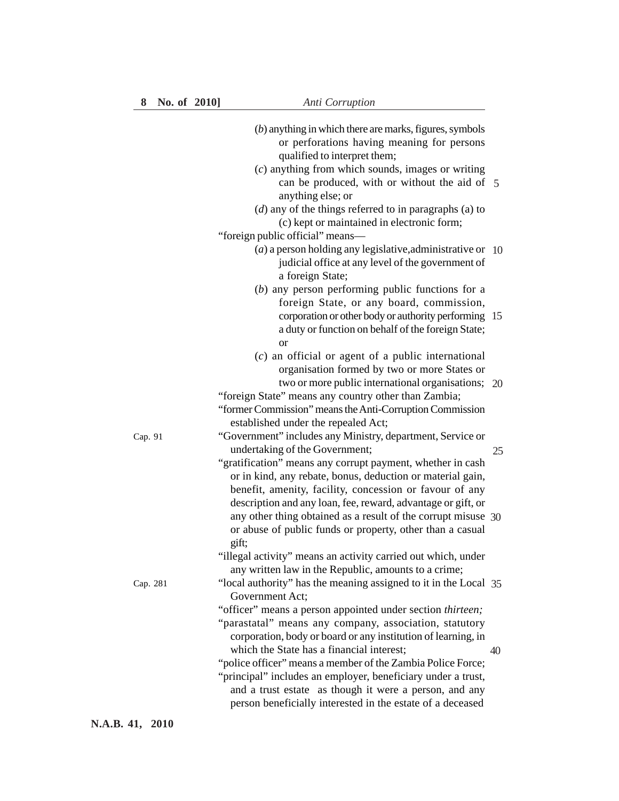|          | $(b)$ anything in which there are marks, figures, symbols<br>or perforations having meaning for persons<br>qualified to interpret them;<br>$(c)$ anything from which sounds, images or writing<br>can be produced, with or without the aid of 5<br>anything else; or<br>$(d)$ any of the things referred to in paragraphs (a) to                                                                                                                                                          |    |
|----------|-------------------------------------------------------------------------------------------------------------------------------------------------------------------------------------------------------------------------------------------------------------------------------------------------------------------------------------------------------------------------------------------------------------------------------------------------------------------------------------------|----|
|          | (c) kept or maintained in electronic form;<br>"foreign public official" means-<br>( $a$ ) a person holding any legislative, administrative or 10<br>judicial office at any level of the government of<br>a foreign State;                                                                                                                                                                                                                                                                 |    |
|          | $(b)$ any person performing public functions for a<br>foreign State, or any board, commission,<br>corporation or other body or authority performing 15<br>a duty or function on behalf of the foreign State;<br><b>or</b>                                                                                                                                                                                                                                                                 |    |
|          | $(c)$ an official or agent of a public international<br>organisation formed by two or more States or<br>two or more public international organisations; 20<br>"foreign State" means any country other than Zambia;<br>"former Commission" means the Anti-Corruption Commission<br>established under the repealed Act;                                                                                                                                                                     |    |
| Cap. 91  | "Government" includes any Ministry, department, Service or<br>undertaking of the Government;<br>"gratification" means any corrupt payment, whether in cash<br>or in kind, any rebate, bonus, deduction or material gain,<br>benefit, amenity, facility, concession or favour of any                                                                                                                                                                                                       | 25 |
|          | description and any loan, fee, reward, advantage or gift, or<br>any other thing obtained as a result of the corrupt misuse 30<br>or abuse of public funds or property, other than a casual<br>gift;<br>"illegal activity" means an activity carried out which, under                                                                                                                                                                                                                      |    |
| Cap. 281 | any written law in the Republic, amounts to a crime;<br>"local authority" has the meaning assigned to it in the Local 35<br>Government Act;                                                                                                                                                                                                                                                                                                                                               |    |
|          | "officer" means a person appointed under section thirteen;<br>"parastatal" means any company, association, statutory<br>corporation, body or board or any institution of learning, in<br>which the State has a financial interest;<br>"police officer" means a member of the Zambia Police Force;<br>"principal" includes an employer, beneficiary under a trust,<br>and a trust estate as though it were a person, and any<br>person beneficially interested in the estate of a deceased | 40 |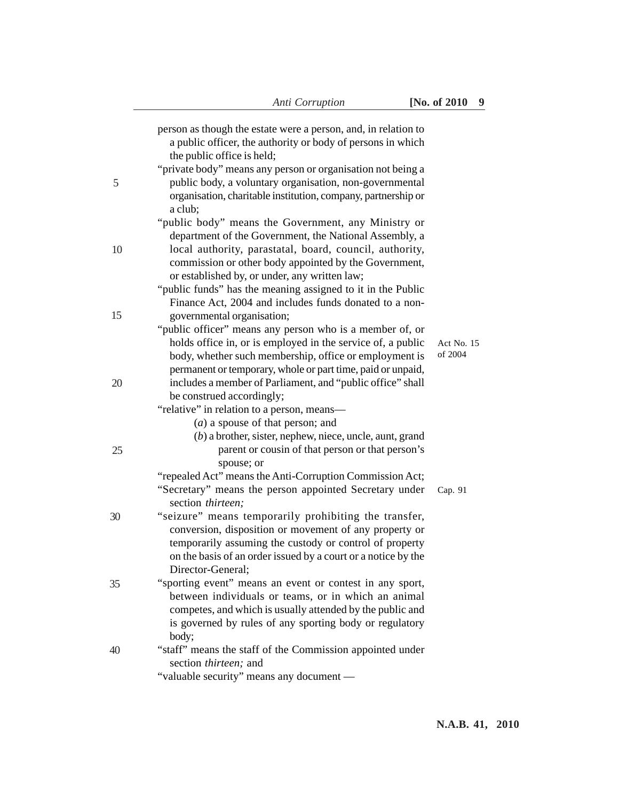|    | person as though the estate were a person, and, in relation to<br>a public officer, the authority or body of persons in which<br>the public office is held;                                                                                                                           |                       |
|----|---------------------------------------------------------------------------------------------------------------------------------------------------------------------------------------------------------------------------------------------------------------------------------------|-----------------------|
| 5  | "private body" means any person or organisation not being a<br>public body, a voluntary organisation, non-governmental<br>organisation, charitable institution, company, partnership or<br>a club;                                                                                    |                       |
| 10 | "public body" means the Government, any Ministry or<br>department of the Government, the National Assembly, a<br>local authority, parastatal, board, council, authority,<br>commission or other body appointed by the Government,                                                     |                       |
| 15 | or established by, or under, any written law;<br>"public funds" has the meaning assigned to it in the Public<br>Finance Act, 2004 and includes funds donated to a non-                                                                                                                |                       |
|    | governmental organisation;<br>"public officer" means any person who is a member of, or<br>holds office in, or is employed in the service of, a public<br>body, whether such membership, office or employment is<br>permanent or temporary, whole or part time, paid or unpaid,        | Act No. 15<br>of 2004 |
| 20 | includes a member of Parliament, and "public office" shall<br>be construed accordingly;<br>"relative" in relation to a person, means-<br>$(a)$ a spouse of that person; and                                                                                                           |                       |
| 25 | $(b)$ a brother, sister, nephew, niece, uncle, aunt, grand<br>parent or cousin of that person or that person's<br>spouse; or<br>"repealed Act" means the Anti-Corruption Commission Act;<br>"Secretary" means the person appointed Secretary under                                    | Cap. 91               |
| 30 | section thirteen;<br>"seizure" means temporarily prohibiting the transfer,<br>conversion, disposition or movement of any property or<br>temporarily assuming the custody or control of property<br>on the basis of an order issued by a court or a notice by the<br>Director-General; |                       |
| 35 | "sporting event" means an event or contest in any sport,<br>between individuals or teams, or in which an animal<br>competes, and which is usually attended by the public and<br>is governed by rules of any sporting body or regulatory<br>body;                                      |                       |
| 40 | "staff" means the staff of the Commission appointed under<br>section thirteen; and<br>"valuable security" means any document —                                                                                                                                                        |                       |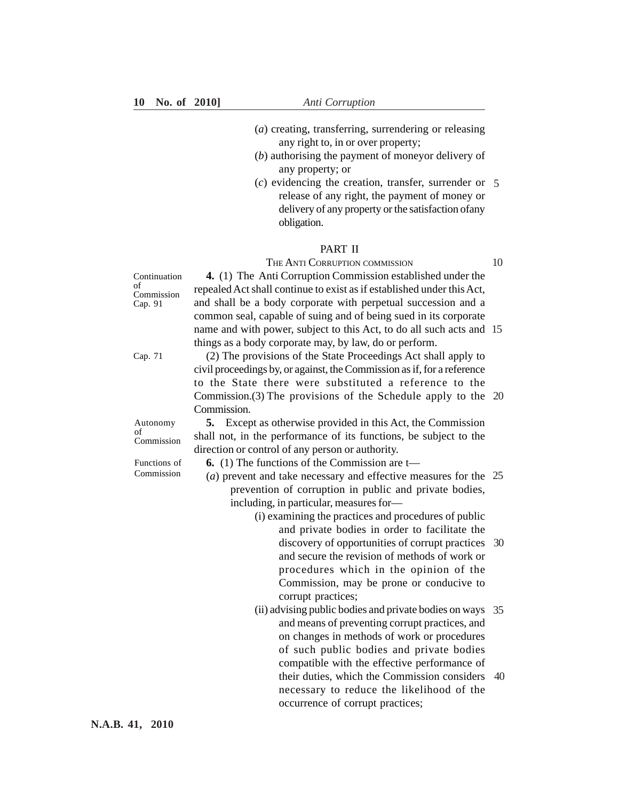- (*a*) creating, transferring, surrendering or releasing any right to, in or over property;
- (*b*) authorising the payment of moneyor delivery of any property; or
- (*c*) evidencing the creation, transfer, surrender or 5 release of any right, the payment of money or delivery of any property or the satisfaction ofany obligation.

### PART II

THE ANTI CORRUPTION COMMISSION

10

**4.** (1) The Anti Corruption Commission established under the Continuation of Commission Cap. 91

repealed Act shall continue to exist as if established under this Act, and shall be a body corporate with perpetual succession and a common seal, capable of suing and of being sued in its corporate name and with power, subject to this Act, to do all such acts and 15 things as a body corporate may, by law, do or perform

|                  | unigs as a body corporate may, by law, do or perform.                   |    |
|------------------|-------------------------------------------------------------------------|----|
| Cap. 71          | (2) The provisions of the State Proceedings Act shall apply to          |    |
|                  | civil proceedings by, or against, the Commission as if, for a reference |    |
|                  | to the State there were substituted a reference to the                  |    |
|                  | Commission. $(3)$ The provisions of the Schedule apply to the 20        |    |
|                  | Commission.                                                             |    |
| Autonomy         | <b>5.</b> Except as otherwise provided in this Act, the Commission      |    |
| of<br>Commission | shall not, in the performance of its functions, be subject to the       |    |
|                  | direction or control of any person or authority.                        |    |
| Functions of     | <b>6.</b> (1) The functions of the Commission are t—                    |    |
| Commission       | (a) prevent and take necessary and effective measures for the $25$      |    |
|                  | prevention of corruption in public and private bodies,                  |    |
|                  | including, in particular, measures for-                                 |    |
|                  | (i) examining the practices and procedures of public                    |    |
|                  | and private bodies in order to facilitate the                           |    |
|                  | discovery of opportunities of corrupt practices 30                      |    |
|                  | and secure the revision of methods of work or                           |    |
|                  | procedures which in the opinion of the                                  |    |
|                  | Commission, may be prone or conducive to                                |    |
|                  | corrupt practices;                                                      |    |
|                  | (ii) advising public bodies and private bodies on ways 35               |    |
|                  | and means of preventing corrupt practices, and                          |    |
|                  | on changes in methods of work or procedures                             |    |
|                  | of such public bodies and private bodies                                |    |
|                  | compatible with the effective performance of                            |    |
|                  | their duties, which the Commission considers                            | 40 |
|                  | necessary to reduce the likelihood of the                               |    |

occurrence of corrupt practices;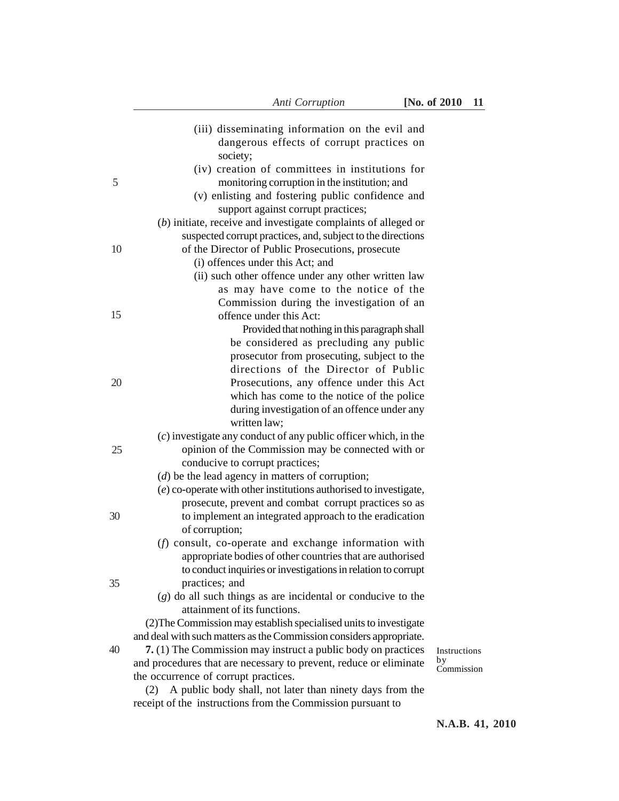|    | (iii) disseminating information on the evil and<br>dangerous effects of corrupt practices on                     |                  |
|----|------------------------------------------------------------------------------------------------------------------|------------------|
|    | society;                                                                                                         |                  |
|    | (iv) creation of committees in institutions for                                                                  |                  |
| 5  | monitoring corruption in the institution; and                                                                    |                  |
|    | (v) enlisting and fostering public confidence and                                                                |                  |
|    | support against corrupt practices;                                                                               |                  |
|    | $(b)$ initiate, receive and investigate complaints of alleged or                                                 |                  |
| 10 | suspected corrupt practices, and, subject to the directions<br>of the Director of Public Prosecutions, prosecute |                  |
|    | (i) offences under this Act; and                                                                                 |                  |
|    | (ii) such other offence under any other written law                                                              |                  |
|    | as may have come to the notice of the                                                                            |                  |
|    | Commission during the investigation of an                                                                        |                  |
| 15 | offence under this Act:                                                                                          |                  |
|    | Provided that nothing in this paragraph shall                                                                    |                  |
|    | be considered as precluding any public                                                                           |                  |
|    | prosecutor from prosecuting, subject to the                                                                      |                  |
|    | directions of the Director of Public                                                                             |                  |
| 20 | Prosecutions, any offence under this Act                                                                         |                  |
|    | which has come to the notice of the police                                                                       |                  |
|    | during investigation of an offence under any                                                                     |                  |
|    | written law;                                                                                                     |                  |
|    | $(c)$ investigate any conduct of any public officer which, in the                                                |                  |
| 25 | opinion of the Commission may be connected with or                                                               |                  |
|    | conducive to corrupt practices;                                                                                  |                  |
|    | $(d)$ be the lead agency in matters of corruption;                                                               |                  |
|    | (e) co-operate with other institutions authorised to investigate,                                                |                  |
|    | prosecute, prevent and combat corrupt practices so as                                                            |                  |
| 30 | to implement an integrated approach to the eradication<br>of corruption;                                         |                  |
|    | (f) consult, co-operate and exchange information with                                                            |                  |
|    | appropriate bodies of other countries that are authorised                                                        |                  |
|    | to conduct inquiries or investigations in relation to corrupt                                                    |                  |
| 35 | practices; and                                                                                                   |                  |
|    | $(g)$ do all such things as are incidental or conducive to the                                                   |                  |
|    | attainment of its functions.                                                                                     |                  |
|    | (2) The Commission may establish specialised units to investigate                                                |                  |
|    | and deal with such matters as the Commission considers appropriate.                                              |                  |
| 40 | 7. (1) The Commission may instruct a public body on practices                                                    | Instructions     |
|    | and procedures that are necessary to prevent, reduce or eliminate                                                | by<br>Commission |
|    | the occurrence of corrupt practices.                                                                             |                  |
|    | A public body shall, not later than ninety days from the<br>(2)                                                  |                  |
|    | receipt of the instructions from the Commission pursuant to                                                      |                  |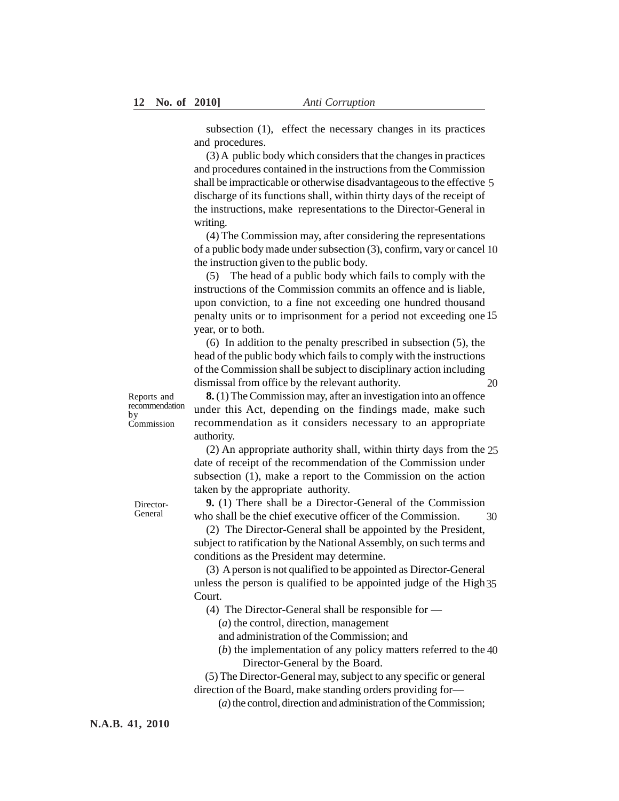subsection (1), effect the necessary changes in its practices and procedures.

(3) A public body which considers that the changes in practices and procedures contained in the instructions from the Commission shall be impracticable or otherwise disadvantageous to the effective 5 discharge of its functions shall, within thirty days of the receipt of the instructions, make representations to the Director-General in writing.

(4) The Commission may, after considering the representations of a public body made under subsection (3), confirm, vary or cancel 10 the instruction given to the public body.

(5) The head of a public body which fails to comply with the instructions of the Commission commits an offence and is liable, upon conviction, to a fine not exceeding one hundred thousand penalty units or to imprisonment for a period not exceeding one 15 year, or to both.

(6) In addition to the penalty prescribed in subsection (5), the head of the public body which fails to comply with the instructions of the Commission shall be subject to disciplinary action including dismissal from office by the relevant authority. 20

Reports and recommendation by Commission

**8.** (1) The Commission may, after an investigation into an offence under this Act, depending on the findings made, make such recommendation as it considers necessary to an appropriate authority.

(2) An appropriate authority shall, within thirty days from the 25 date of receipt of the recommendation of the Commission under subsection (1), make a report to the Commission on the action taken by the appropriate authority.

**9.** (1) There shall be a Director-General of the Commission who shall be the chief executive officer of the Commission. 30

(2) The Director-General shall be appointed by the President, subject to ratification by the National Assembly, on such terms and conditions as the President may determine.

(3) A person is not qualified to be appointed as Director-General unless the person is qualified to be appointed judge of the High 35 Court.

(4) The Director-General shall be responsible for —

(*a*) the control, direction, management

and administration of the Commission; and

(*b*) the implementation of any policy matters referred to the 40 Director-General by the Board.

(5) The Director-General may, subject to any specific or general direction of the Board, make standing orders providing for—

(*a*) the control, direction and administration of the Commission;

Director-General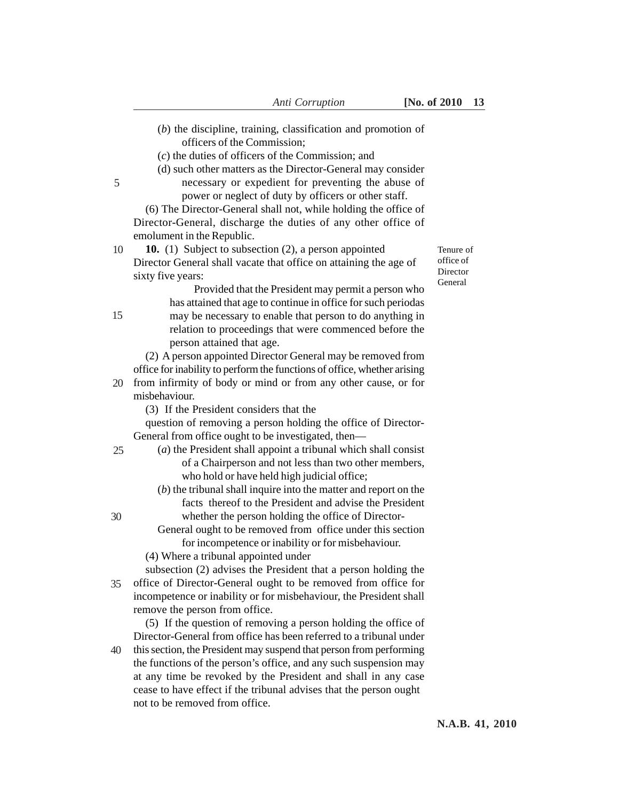- (*b*) the discipline, training, classification and promotion of officers of the Commission;
- (*c*) the duties of officers of the Commission; and
- (d) such other matters as the Director-General may consider necessary or expedient for preventing the abuse of
	- power or neglect of duty by officers or other staff.

(6) The Director-General shall not, while holding the office of Director-General, discharge the duties of any other office of emolument in the Republic.

**10.** (1) Subject to subsection (2), a person appointed Director General shall vacate that office on attaining the age of sixty five years: 10

office of Director General

Tenure of

Provided that the President may permit a person who has attained that age to continue in office for such periodas may be necessary to enable that person to do anything in relation to proceedings that were commenced before the person attained that age.

(2) A person appointed Director General may be removed from office for inability to perform the functions of office, whether arising

- 20 from infirmity of body or mind or from any other cause, or for misbehaviour.
	- (3) If the President considers that the

question of removing a person holding the office of Director-General from office ought to be investigated, then—

- (*a*) the President shall appoint a tribunal which shall consist of a Chairperson and not less than two other members, who hold or have held high judicial office;
	- (*b*) the tribunal shall inquire into the matter and report on the facts thereof to the President and advise the President whether the person holding the office of Director-
	- General ought to be removed from office under this section for incompetence or inability or for misbehaviour.
- (4) Where a tribunal appointed under

subsection (2) advises the President that a person holding the office of Director-General ought to be removed from office for incompetence or inability or for misbehaviour, the President shall remove the person from office. 35

(5) If the question of removing a person holding the office of Director-General from office has been referred to a tribunal under this section, the President may suspend that person from performing the functions of the person's office, and any such suspension may at any time be revoked by the President and shall in any case cease to have effect if the tribunal advises that the person ought not to be removed from office. 40

15

30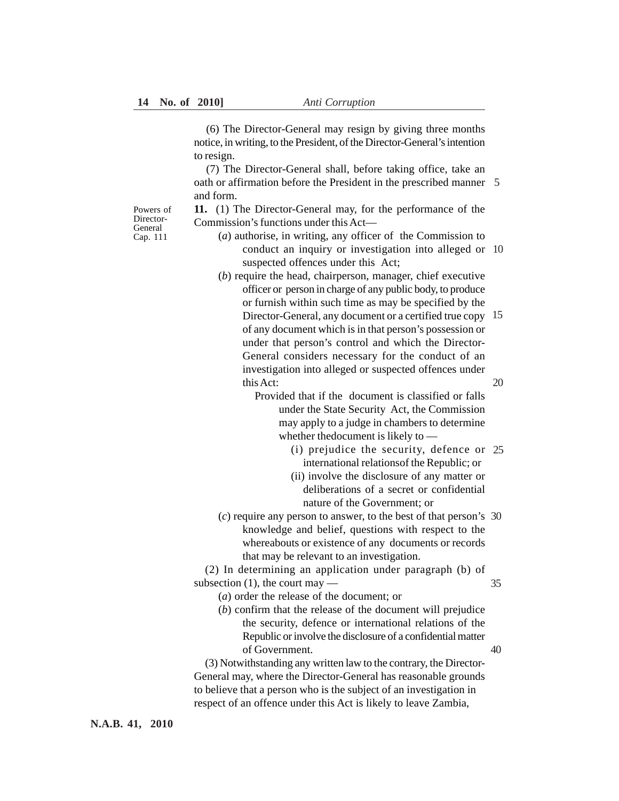(6) The Director-General may resign by giving three months notice, in writing, to the President, of the Director-General's intention to resign.

(7) The Director-General shall, before taking office, take an oath or affirmation before the President in the prescribed manner 5 and form.

**11.** (1) The Director-General may, for the performance of the Commission's functions under this Act—

- (*a*) authorise, in writing, any officer of the Commission to conduct an inquiry or investigation into alleged or 10 suspected offences under this Act;
	- (*b*) require the head, chairperson, manager, chief executive officer or person in charge of any public body, to produce or furnish within such time as may be specified by the Director-General, any document or a certified true copy 15 of any document which is in that person's possession or under that person's control and which the Director-General considers necessary for the conduct of an investigation into alleged or suspected offences under this Act:

Provided that if the document is classified or falls under the State Security Act, the Commission may apply to a judge in chambers to determine whether thedocument is likely to —

- (i) prejudice the security, defence or 25 international relationsof the Republic; or
- (ii) involve the disclosure of any matter or deliberations of a secret or confidential nature of the Government; or
- (*c*) require any person to answer, to the best of that person's 30 knowledge and belief, questions with respect to the whereabouts or existence of any documents or records that may be relevant to an investigation.

(2) In determining an application under paragraph (b) of subsection  $(1)$ , the court may — 35

- (*a*) order the release of the document; or
- (*b*) confirm that the release of the document will prejudice the security, defence or international relations of the Republic or involve the disclosure of a confidential matter of Government. 40

(3) Notwithstanding any written law to the contrary, the Director-General may, where the Director-General has reasonable grounds to believe that a person who is the subject of an investigation in respect of an offence under this Act is likely to leave Zambia,

Powers of Director-General Cap. 111

**N.A.B. 41, 2010**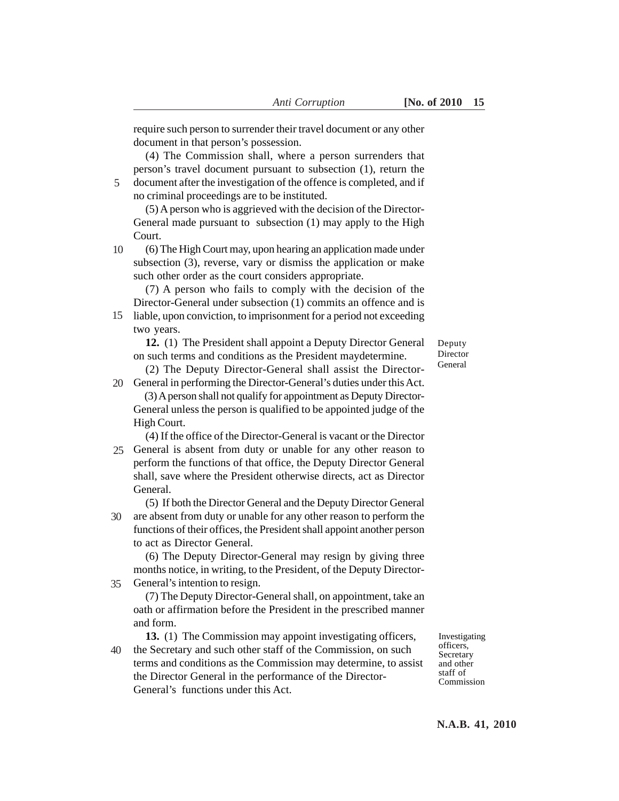require such person to surrender their travel document or any other document in that person's possession.

(4) The Commission shall, where a person surrenders that person's travel document pursuant to subsection (1), return the document after the investigation of the offence is completed, and if no criminal proceedings are to be instituted. 5

(5) A person who is aggrieved with the decision of the Director-General made pursuant to subsection (1) may apply to the High Court.

(6) The High Court may, upon hearing an application made under subsection (3), reverse, vary or dismiss the application or make such other order as the court considers appropriate. 10

(7) A person who fails to comply with the decision of the Director-General under subsection (1) commits an offence and is

15 liable, upon conviction, to imprisonment for a period not exceeding two years.

**12.** (1) The President shall appoint a Deputy Director General on such terms and conditions as the President maydetermine.

(2) The Deputy Director-General shall assist the Director-20 General in performing the Director-General's duties under this Act.

(3) A person shall not qualify for appointment as Deputy Director-General unless the person is qualified to be appointed judge of the High Court.

(4) If the office of the Director-General is vacant or the Director 25 General is absent from duty or unable for any other reason to perform the functions of that office, the Deputy Director General shall, save where the President otherwise directs, act as Director General.

(5) If both the Director General and the Deputy Director General are absent from duty or unable for any other reason to perform the 30 functions of their offices, the President shall appoint another person to act as Director General.

(6) The Deputy Director-General may resign by giving three months notice, in writing, to the President, of the Deputy Director-General's intention to resign. 35

(7) The Deputy Director-General shall, on appointment, take an oath or affirmation before the President in the prescribed manner and form.

**13.** (1) The Commission may appoint investigating officers, the Secretary and such other staff of the Commission, on such terms and conditions as the Commission may determine, to assist the Director General in the performance of the Director-General's functions under this Act. 40

Investigating officers, Secretary and other staff of Commission

Deputy Director General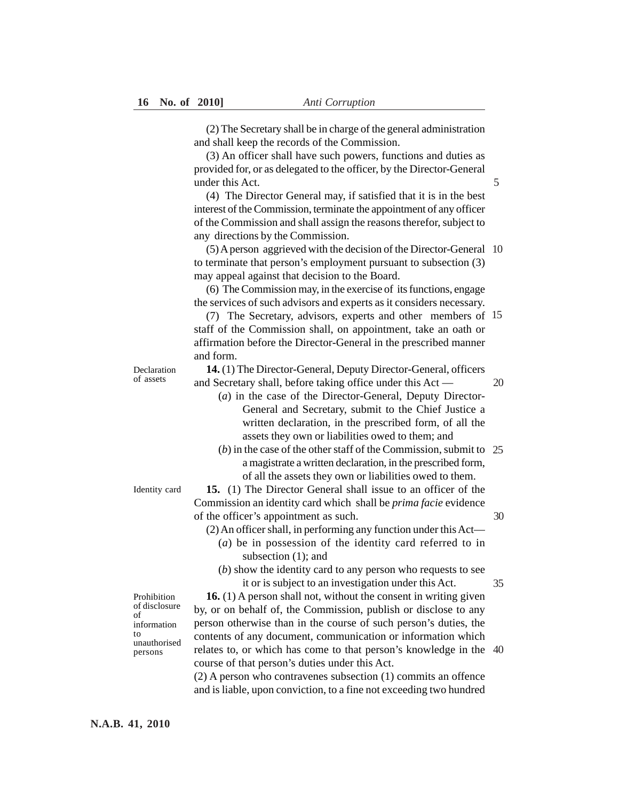(2) The Secretary shall be in charge of the general administration and shall keep the records of the Commission.

(3) An officer shall have such powers, functions and duties as provided for, or as delegated to the officer, by the Director-General under this Act.

(4) The Director General may, if satisfied that it is in the best interest of the Commission, terminate the appointment of any officer of the Commission and shall assign the reasons therefor, subject to any directions by the Commission.

(5) A person aggrieved with the decision of the Director-General 10 to terminate that person's employment pursuant to subsection (3) may appeal against that decision to the Board.

(6) The Commission may, in the exercise of its functions, engage the services of such advisors and experts as it considers necessary.

(7) The Secretary, advisors, experts and other members of 15 staff of the Commission shall, on appointment, take an oath or affirmation before the Director-General in the prescribed manner and form.

**14.** (1) The Director-General, Deputy Director-General, officers and Secretary shall, before taking office under this Act —

20

5

(*a*) in the case of the Director-General, Deputy Director-General and Secretary, submit to the Chief Justice a written declaration, in the prescribed form, of all the assets they own or liabilities owed to them; and

(*b*) in the case of the other staff of the Commission, submit to 25 a magistrate a written declaration, in the prescribed form, of all the assets they own or liabilities owed to them.

**15.** (1) The Director General shall issue to an officer of the Commission an identity card which shall be *prima facie* evidence of the officer's appointment as such.

- (2) An officer shall, in performing any function under this Act—
	- (*a*) be in possession of the identity card referred to in subsection  $(1)$ ; and
	- (*b*) show the identity card to any person who requests to see it or is subject to an investigation under this Act.

35

30

**16.** (1) A person shall not, without the consent in writing given by, or on behalf of, the Commission, publish or disclose to any person otherwise than in the course of such person's duties, the contents of any document, communication or information which relates to, or which has come to that person's knowledge in the 40 course of that person's duties under this Act. Prohibition

> (2) A person who contravenes subsection (1) commits an offence and is liable, upon conviction, to a fine not exceeding two hundred

Identity card

Declaration of assets

of disclosure of information to unauthorised persons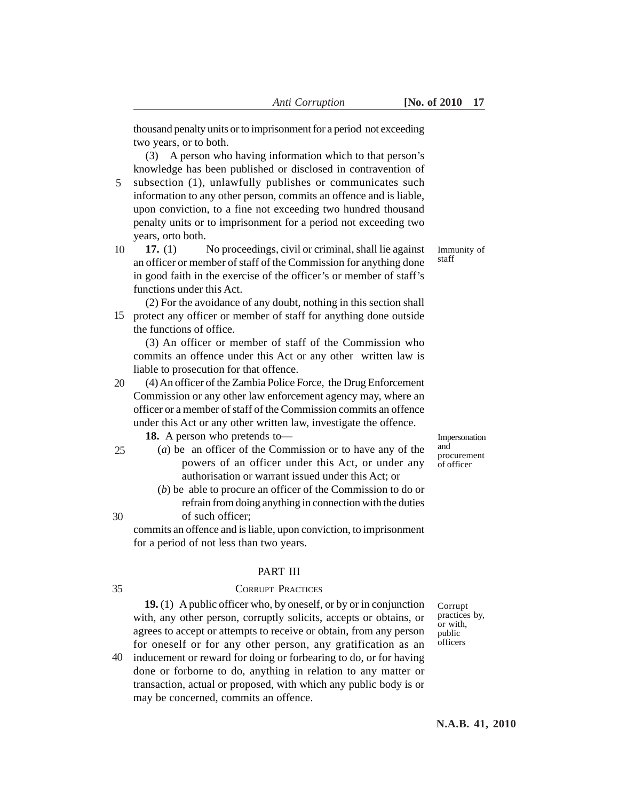thousand penalty units or to imprisonment for a period not exceeding two years, or to both.

(3) A person who having information which to that person's knowledge has been published or disclosed in contravention of subsection (1), unlawfully publishes or communicates such

- information to any other person, commits an offence and is liable, upon conviction, to a fine not exceeding two hundred thousand penalty units or to imprisonment for a period not exceeding two years, orto both. 5
- **17.** (1) No proceedings, civil or criminal, shall lie against an officer or member of staff of the Commission for anything done in good faith in the exercise of the officer's or member of staff's functions under this Act. 10

(2) For the avoidance of any doubt, nothing in this section shall 15 protect any officer or member of staff for anything done outside the functions of office.

(3) An officer or member of staff of the Commission who commits an offence under this Act or any other written law is liable to prosecution for that offence.

(4) An officer of the Zambia Police Force, the Drug Enforcement Commission or any other law enforcement agency may, where an officer or a member of staff of the Commission commits an offence under this Act or any other written law, investigate the offence. 20

**18.** A person who pretends to—

25

30

35

- (*a*) be an officer of the Commission or to have any of the powers of an officer under this Act, or under any authorisation or warrant issued under this Act; or
	- (*b*) be able to procure an officer of the Commission to do or refrain from doing anything in connection with the duties of such officer;

commits an offence and is liable, upon conviction, to imprisonment for a period of not less than two years.

#### PART III

## CORRUPT PRACTICES

**19.** (1) A public officer who, by oneself, or by or in conjunction with, any other person, corruptly solicits, accepts or obtains, or agrees to accept or attempts to receive or obtain, from any person for oneself or for any other person, any gratification as an

inducement or reward for doing or forbearing to do, or for having done or forborne to do, anything in relation to any matter or transaction, actual or proposed, with which any public body is or may be concerned, commits an offence. 40

Corrupt practices by, or with, public officers

Immunity of staff

Impersonation and procurement of officer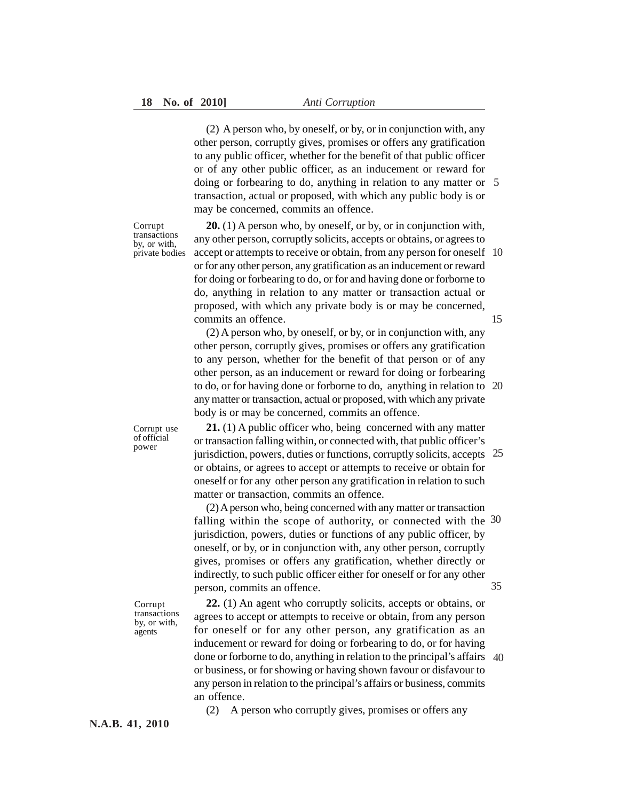(2) A person who, by oneself, or by, or in conjunction with, any other person, corruptly gives, promises or offers any gratification to any public officer, whether for the benefit of that public officer or of any other public officer, as an inducement or reward for doing or forbearing to do, anything in relation to any matter or 5 transaction, actual or proposed, with which any public body is or may be concerned, commits an offence.

Corrupt transactions by, or with, private bodies

**20.** (1) A person who, by oneself, or by, or in conjunction with, any other person, corruptly solicits, accepts or obtains, or agrees to accept or attempts to receive or obtain, from any person for oneself 10 or for any other person, any gratification as an inducement or reward for doing or forbearing to do, or for and having done or forborne to do, anything in relation to any matter or transaction actual or proposed, with which any private body is or may be concerned, commits an offence. 15

(2) A person who, by oneself, or by, or in conjunction with, any other person, corruptly gives, promises or offers any gratification to any person, whether for the benefit of that person or of any other person, as an inducement or reward for doing or forbearing to do, or for having done or forborne to do, anything in relation to 20 any matter or transaction, actual or proposed, with which any private body is or may be concerned, commits an offence.

**21.** (1) A public officer who, being concerned with any matter or transaction falling within, or connected with, that public officer's jurisdiction, powers, duties or functions, corruptly solicits, accepts 25 or obtains, or agrees to accept or attempts to receive or obtain for oneself or for any other person any gratification in relation to such matter or transaction, commits an offence.

(2) A person who, being concerned with any matter or transaction falling within the scope of authority, or connected with the 30 jurisdiction, powers, duties or functions of any public officer, by oneself, or by, or in conjunction with, any other person, corruptly gives, promises or offers any gratification, whether directly or indirectly, to such public officer either for oneself or for any other person, commits an offence. 35

Corrupt transactions by, or with, agents

Corrupt use of official power

> **22.** (1) An agent who corruptly solicits, accepts or obtains, or agrees to accept or attempts to receive or obtain, from any person for oneself or for any other person, any gratification as an inducement or reward for doing or forbearing to do, or for having done or forborne to do, anything in relation to the principal's affairs 40 or business, or for showing or having shown favour or disfavour to any person in relation to the principal's affairs or business, commits an offence.

(2) A person who corruptly gives, promises or offers any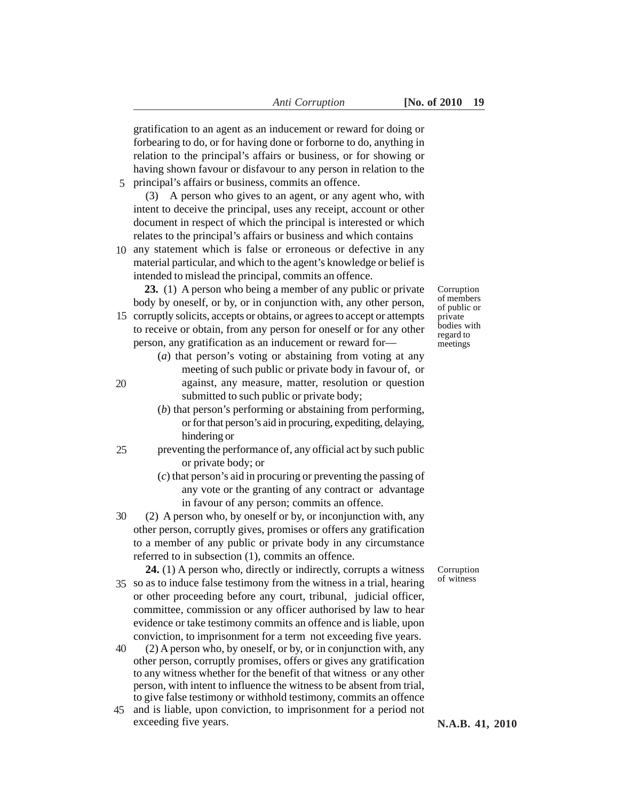gratification to an agent as an inducement or reward for doing or forbearing to do, or for having done or forborne to do, anything in relation to the principal's affairs or business, or for showing or having shown favour or disfavour to any person in relation to the principal's affairs or business, commits an offence. 5

(3) A person who gives to an agent, or any agent who, with intent to deceive the principal, uses any receipt, account or other document in respect of which the principal is interested or which relates to the principal's affairs or business and which contains

10 any statement which is false or erroneous or defective in any material particular, and which to the agent's knowledge or belief is intended to mislead the principal, commits an offence.

**23.** (1) A person who being a member of any public or private body by oneself, or by, or in conjunction with, any other person,

15 corruptly solicits, accepts or obtains, or agrees to accept or attempts to receive or obtain, from any person for oneself or for any other person, any gratification as an inducement or reward for—

20

- Corruption of members of public or private bodies with regard to meetings
- (*a*) that person's voting or abstaining from voting at any meeting of such public or private body in favour of, or against, any measure, matter, resolution or question submitted to such public or private body;
- (*b*) that person's performing or abstaining from performing, or for that person's aid in procuring, expediting, delaying, hindering or
- preventing the performance of, any official act by such public or private body; or 25
	- (*c*) that person's aid in procuring or preventing the passing of any vote or the granting of any contract or advantage in favour of any person; commits an offence.
- (2) A person who, by oneself or by, or inconjunction with, any other person, corruptly gives, promises or offers any gratification to a member of any public or private body in any circumstance referred to in subsection (1), commits an offence. 30

**24.** (1) A person who, directly or indirectly, corrupts a witness 35 so as to induce false testimony from the witness in a trial, hearing or other proceeding before any court, tribunal, judicial officer, committee, commission or any officer authorised by law to hear evidence or take testimony commits an offence and is liable, upon conviction, to imprisonment for a term not exceeding five years.

- (2) A person who, by oneself, or by, or in conjunction with, any other person, corruptly promises, offers or gives any gratification to any witness whether for the benefit of that witness or any other person, with intent to influence the witness to be absent from trial, to give false testimony or withhold testimony, commits an offence 40
- and is liable, upon conviction, to imprisonment for a period not 45 exceeding five years.

Corruption of witness

**N.A.B. 41, 2010**

 *Anti Corruption* **[No. of 2010 19**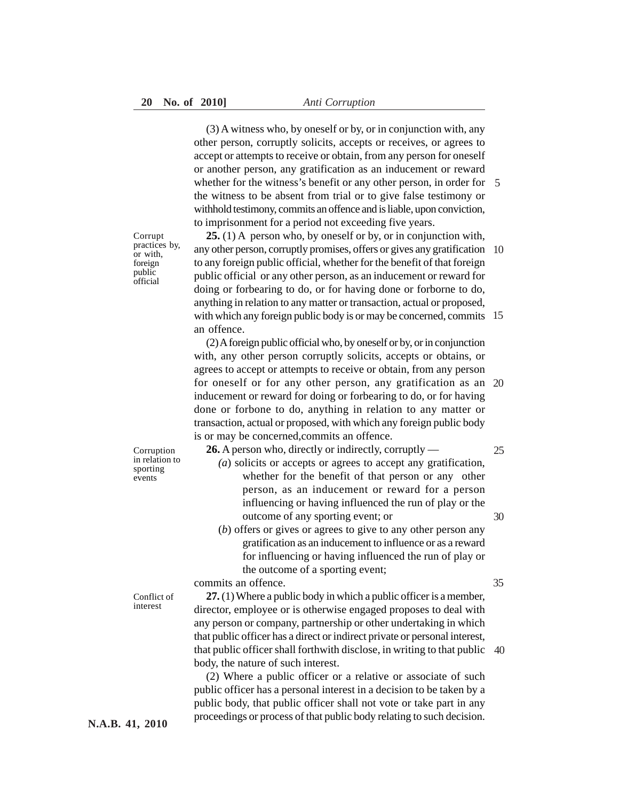(3) A witness who, by oneself or by, or in conjunction with, any other person, corruptly solicits, accepts or receives, or agrees to accept or attempts to receive or obtain, from any person for oneself or another person, any gratification as an inducement or reward whether for the witness's benefit or any other person, in order for 5 the witness to be absent from trial or to give false testimony or withhold testimony, commits an offence and is liable, upon conviction, to imprisonment for a period not exceeding five years.

Corrupt practices by, or with, foreign public official

**25.** (1) A person who, by oneself or by, or in conjunction with, any other person, corruptly promises, offers or gives any gratification 10 to any foreign public official, whether for the benefit of that foreign public official or any other person, as an inducement or reward for doing or forbearing to do, or for having done or forborne to do, anything in relation to any matter or transaction, actual or proposed, with which any foreign public body is or may be concerned, commits 15 an offence.

(2) A foreign public official who, by oneself or by, or in conjunction with, any other person corruptly solicits, accepts or obtains, or agrees to accept or attempts to receive or obtain, from any person for oneself or for any other person, any gratification as an 20 inducement or reward for doing or forbearing to do, or for having done or forbone to do, anything in relation to any matter or transaction, actual or proposed, with which any foreign public body is or may be concerned,commits an offence.

Corruption in relation to sporting events

**26.** A person who, directly or indirectly, corruptly —

- *(a*) solicits or accepts or agrees to accept any gratification, whether for the benefit of that person or any other person, as an inducement or reward for a person influencing or having influenced the run of play or the outcome of any sporting event; or
- (*b*) offers or gives or agrees to give to any other person any gratification as an inducement to influence or as a reward for influencing or having influenced the run of play or the outcome of a sporting event;

commits an offence.

Conflict of interest

**27.** (1) Where a public body in which a public officer is a member, director, employee or is otherwise engaged proposes to deal with any person or company, partnership or other undertaking in which that public officer has a direct or indirect private or personal interest, that public officer shall forthwith disclose, in writing to that public 40 body, the nature of such interest.

(2) Where a public officer or a relative or associate of such public officer has a personal interest in a decision to be taken by a public body, that public officer shall not vote or take part in any proceedings or process of that public body relating to such decision.

30

35

25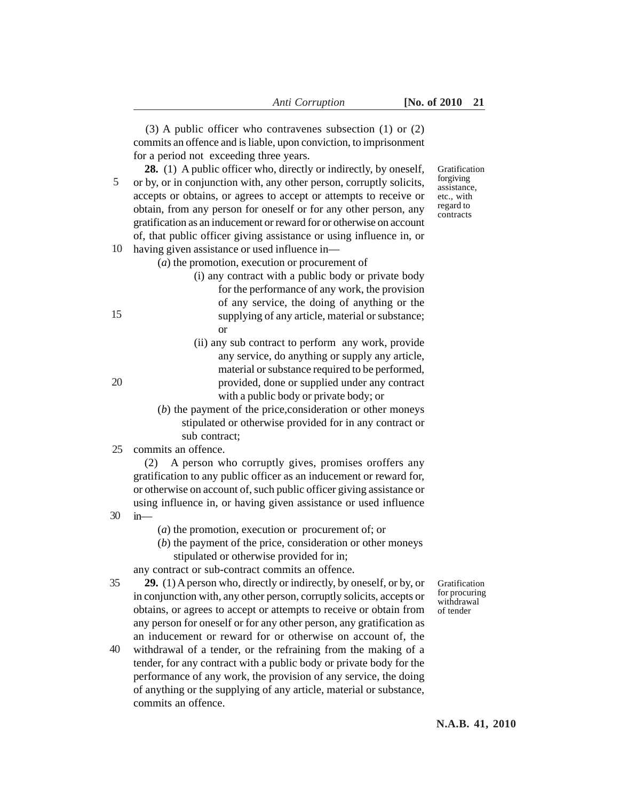(3) A public officer who contravenes subsection (1) or (2) commits an offence and is liable, upon conviction, to imprisonment for a period not exceeding three years.

**28.** (1) A public officer who, directly or indirectly, by oneself, or by, or in conjunction with, any other person, corruptly solicits, accepts or obtains, or agrees to accept or attempts to receive or obtain, from any person for oneself or for any other person, any gratification as an inducement or reward for or otherwise on account of, that public officer giving assistance or using influence in, or 10 having given assistance or used influence in-5

- (*a*) the promotion, execution or procurement of
	- (i) any contract with a public body or private body for the performance of any work, the provision of any service, the doing of anything or the supplying of any article, material or substance; or
	- (ii) any sub contract to perform any work, provide any service, do anything or supply any article, material or substance required to be performed, provided, done or supplied under any contract with a public body or private body; or
- (*b*) the payment of the price,consideration or other moneys stipulated or otherwise provided for in any contract or sub contract;
- commits an offence. 25

(2) A person who corruptly gives, promises oroffers any gratification to any public officer as an inducement or reward for, or otherwise on account of, such public officer giving assistance or using influence in, or having given assistance or used influence in—

- (*a*) the promotion, execution or procurement of; or
- (*b*) the payment of the price, consideration or other moneys stipulated or otherwise provided for in;

any contract or sub-contract commits an offence.

- **29.** (1) A person who, directly or indirectly, by oneself, or by, or in conjunction with, any other person, corruptly solicits, accepts or obtains, or agrees to accept or attempts to receive or obtain from any person for oneself or for any other person, any gratification as an inducement or reward for or otherwise on account of, the 35
- withdrawal of a tender, or the refraining from the making of a tender, for any contract with a public body or private body for the performance of any work, the provision of any service, the doing of anything or the supplying of any article, material or substance, commits an offence. 40

forgiving assistance, etc., with regard to contracts

Gratification

20

30

15

Gratification for procuring withdrawal of tender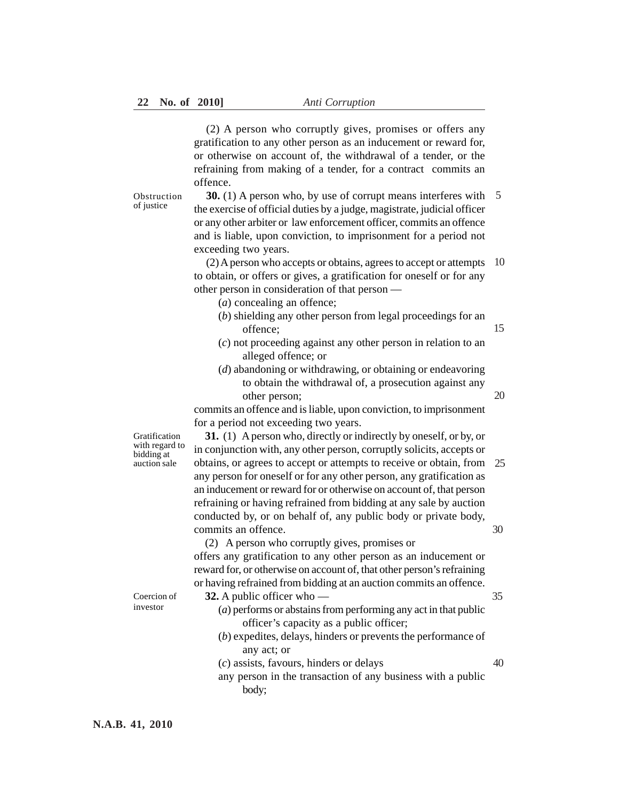(2) A person who corruptly gives, promises or offers any gratification to any other person as an inducement or reward for, or otherwise on account of, the withdrawal of a tender, or the refraining from making of a tender, for a contract commits an offence.

**Obstruction** of justice

**30.** (1) A person who, by use of corrupt means interferes with 5 the exercise of official duties by a judge, magistrate, judicial officer or any other arbiter or law enforcement officer, commits an offence and is liable, upon conviction, to imprisonment for a period not exceeding two years.

(2) A person who accepts or obtains, agrees to accept or attempts 10 to obtain, or offers or gives, a gratification for oneself or for any other person in consideration of that person —

- (*a*) concealing an offence;
- (*b*) shielding any other person from legal proceedings for an offence; 15
- (*c*) not proceeding against any other person in relation to an alleged offence; or
- (*d*) abandoning or withdrawing, or obtaining or endeavoring to obtain the withdrawal of, a prosecution against any other person;

20

40

commits an offence and is liable, upon conviction, to imprisonment for a period not exceeding two years.

Gratification with regard to bidding at auction sale

**31.** (1) A person who, directly or indirectly by oneself, or by, or in conjunction with, any other person, corruptly solicits, accepts or obtains, or agrees to accept or attempts to receive or obtain, from 25 any person for oneself or for any other person, any gratification as an inducement or reward for or otherwise on account of, that person refraining or having refrained from bidding at any sale by auction conducted by, or on behalf of, any public body or private body, commits an offence. 30

(2) A person who corruptly gives, promises or offers any gratification to any other person as an inducement or reward for, or otherwise on account of, that other person's refraining or having refrained from bidding at an auction commits an offence.

- Coercion of investor
- **32.** A public officer who (*a*) performs or abstains from performing any act in that public officer's capacity as a public officer; (*b*) expedites, delays, hinders or prevents the performance of 35
	- any act; or
	- (*c*) assists, favours, hinders or delays
	- any person in the transaction of any business with a public body;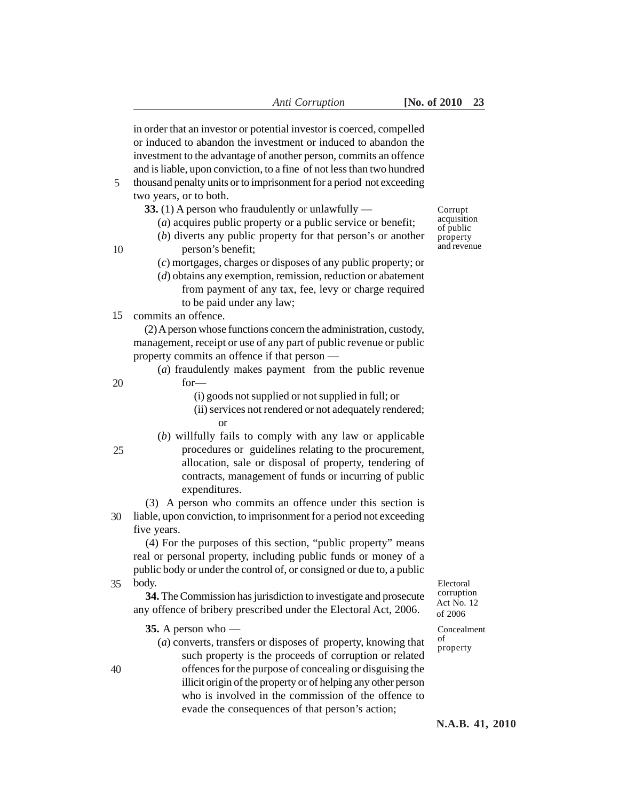in order that an investor or potential investor is coerced, compelled or induced to abandon the investment or induced to abandon the investment to the advantage of another person, commits an offence and is liable, upon conviction, to a fine of not less than two hundred thousand penalty units or to imprisonment for a period not exceeding two years, or to both. **33.** (1) A person who fraudulently or unlawfully — (*a*) acquires public property or a public service or benefit; (*b*) diverts any public property for that person's or another person's benefit; (*c*) mortgages, charges or disposes of any public property; or (*d*) obtains any exemption, remission, reduction or abatement from payment of any tax, fee, levy or charge required to be paid under any law; commits an offence. 15 (2) A person whose functions concern the administration, custody, management, receipt or use of any part of public revenue or public property commits an offence if that person — (*a*) fraudulently makes payment from the public revenue for— (i) goods not supplied or not supplied in full; or (ii) services not rendered or not adequately rendered; or (*b*) willfully fails to comply with any law or applicable procedures or guidelines relating to the procurement, allocation, sale or disposal of property, tendering of contracts, management of funds or incurring of public expenditures. (3) A person who commits an offence under this section is liable, upon conviction, to imprisonment for a period not exceeding 30 five years. (4) For the purposes of this section, "public property" means real or personal property, including public funds or money of a public body or under the control of, or consigned or due to, a public body. **34.** The Commission has jurisdiction to investigate and prosecute any offence of bribery prescribed under the Electoral Act, 2006. **35.** A person who — (*a*) converts, transfers or disposes of property, knowing that such property is the proceeds of corruption or related offences for the purpose of concealing or disguising the illicit origin of the property or of helping any other person 35 of

> who is involved in the commission of the offence to evade the consequences of that person's action;

Corrupt acquisition of public property and revenue

20

5

10

- 25
- 

40

- 
- 

Electoral corruption Act No. 12 of 2006

Concealment property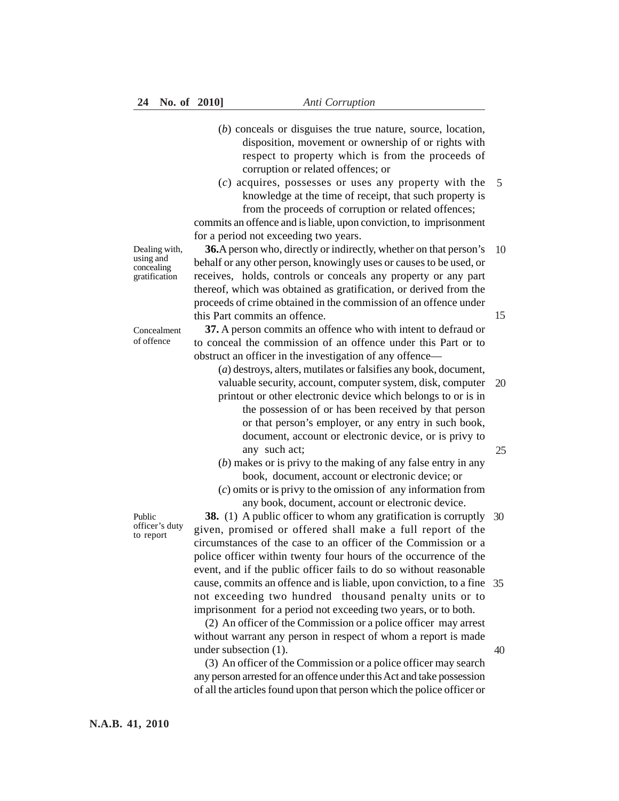- (*b*) conceals or disguises the true nature, source, location, disposition, movement or ownership of or rights with respect to property which is from the proceeds of corruption or related offences; or
- (*c*) acquires, possesses or uses any property with the knowledge at the time of receipt, that such property is from the proceeds of corruption or related offences; 5

commits an offence and is liable, upon conviction, to imprisonment for a period not exceeding two years.

Dealing with, using and concealing gratification

Concealment of offence

**36.**A person who, directly or indirectly, whether on that person's behalf or any other person, knowingly uses or causes to be used, or receives, holds, controls or conceals any property or any part thereof, which was obtained as gratification, or derived from the proceeds of crime obtained in the commission of an offence under this Part commits an offence. 10

**37.** A person commits an offence who with intent to defraud or to conceal the commission of an offence under this Part or to obstruct an officer in the investigation of any offence—

(*a*) destroys, alters, mutilates or falsifies any book, document, valuable security, account, computer system, disk, computer printout or other electronic device which belongs to or is in 20

- the possession of or has been received by that person or that person's employer, or any entry in such book, document, account or electronic device, or is privy to any such act;
- (*b*) makes or is privy to the making of any false entry in any book, document, account or electronic device; or
- (*c*) omits or is privy to the omission of any information from any book, document, account or electronic device.

**38.** (1) A public officer to whom any gratification is corruptly 30 given, promised or offered shall make a full report of the circumstances of the case to an officer of the Commission or a police officer within twenty four hours of the occurrence of the event, and if the public officer fails to do so without reasonable cause, commits an offence and is liable, upon conviction, to a fine 35 not exceeding two hundred thousand penalty units or to imprisonment for a period not exceeding two years, or to both.

(2) An officer of the Commission or a police officer may arrest without warrant any person in respect of whom a report is made under subsection (1).

(3) An officer of the Commission or a police officer may search any person arrested for an offence under this Act and take possession of all the articles found upon that person which the police officer or

Public officer's duty to report

**N.A.B. 41, 2010**

15

25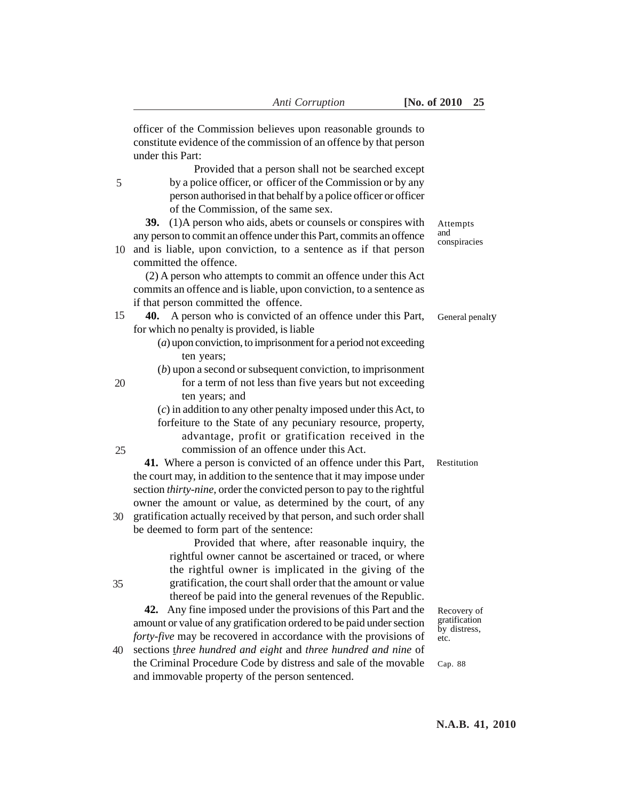|    | officer of the Commission believes upon reasonable grounds to<br>constitute evidence of the commission of an offence by that person<br>under this Part:                                                                                                                          |                                              |
|----|----------------------------------------------------------------------------------------------------------------------------------------------------------------------------------------------------------------------------------------------------------------------------------|----------------------------------------------|
| 5  | Provided that a person shall not be searched except<br>by a police officer, or officer of the Commission or by any<br>person authorised in that behalf by a police officer or officer<br>of the Commission, of the same sex.                                                     |                                              |
|    | (1)A person who aids, abets or counsels or conspires with<br><b>39.</b><br>any person to commit an offence under this Part, commits an offence                                                                                                                                   | Attempts<br>and<br>conspiracies              |
| 10 | and is liable, upon conviction, to a sentence as if that person<br>committed the offence.                                                                                                                                                                                        |                                              |
|    | (2) A person who attempts to commit an offence under this Act<br>commits an offence and is liable, upon conviction, to a sentence as<br>if that person committed the offence.                                                                                                    |                                              |
| 15 | A person who is convicted of an offence under this Part,<br>40.                                                                                                                                                                                                                  | General penalty                              |
|    | for which no penalty is provided, is liable<br>$(a)$ upon conviction, to imprisonment for a period not exceeding<br>ten years;                                                                                                                                                   |                                              |
| 20 | $(b)$ upon a second or subsequent conviction, to imprisonment<br>for a term of not less than five years but not exceeding<br>ten years; and                                                                                                                                      |                                              |
|    | $(c)$ in addition to any other penalty imposed under this Act, to<br>forfeiture to the State of any pecuniary resource, property,                                                                                                                                                |                                              |
| 25 | advantage, profit or gratification received in the<br>commission of an offence under this Act.                                                                                                                                                                                   |                                              |
|    | 41. Where a person is convicted of an offence under this Part,<br>the court may, in addition to the sentence that it may impose under<br>section thirty-nine, order the convicted person to pay to the rightful<br>owner the amount or value, as determined by the court, of any | Restitution                                  |
| 30 | gratification actually received by that person, and such order shall<br>be deemed to form part of the sentence:<br>Provided that where, after reasonable inquiry, the                                                                                                            |                                              |
| 35 | rightful owner cannot be ascertained or traced, or where<br>the rightful owner is implicated in the giving of the<br>gratification, the court shall order that the amount or value                                                                                               |                                              |
|    | thereof be paid into the general revenues of the Republic.<br>Any fine imposed under the provisions of this Part and the<br>42.<br>amount or value of any gratification ordered to be paid under section<br>forty-five may be recovered in accordance with the provisions of     | Recovery of<br>gratification<br>by distress, |
| 40 | sections three hundred and eight and three hundred and nine of<br>the Criminal Procedure Code by distress and sale of the movable<br>and immovable property of the person sentenced.                                                                                             | etc.<br>Cap. 88                              |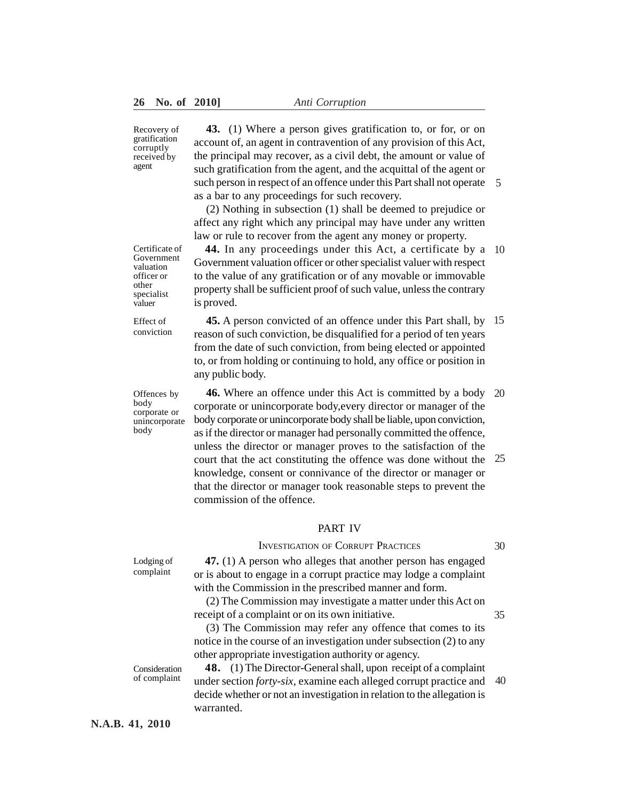Recovery of gratification corruptly received by agent

**43.** (1) Where a person gives gratification to, or for, or on account of, an agent in contravention of any provision of this Act, the principal may recover, as a civil debt, the amount or value of such gratification from the agent, and the acquittal of the agent or such person in respect of an offence under this Part shall not operate 5 as a bar to any proceedings for such recovery.

(2) Nothing in subsection (1) shall be deemed to prejudice or affect any right which any principal may have under any written law or rule to recover from the agent any money or property.

**44.** In any proceedings under this Act, a certificate by a 10 Government valuation officer or other specialist valuer with respect to the value of any gratification or of any movable or immovable property shall be sufficient proof of such value, unless the contrary is proved.

**45.** A person convicted of an offence under this Part shall, by 15 reason of such conviction, be disqualified for a period of ten years from the date of such conviction, from being elected or appointed to, or from holding or continuing to hold, any office or position in any public body.

**46.** Where an offence under this Act is committed by a body corporate or unincorporate body,every director or manager of the body corporate or unincorporate body shall be liable, upon conviction, as if the director or manager had personally committed the offence, unless the director or manager proves to the satisfaction of the court that the act constituting the offence was done without the knowledge, consent or connivance of the director or manager or that the director or manager took reasonable steps to prevent the commission of the offence. 20 25

## PART IV

#### INVESTIGATION OF CORRUPT PRACTICES

30

35

**47.** (1) A person who alleges that another person has engaged or is about to engage in a corrupt practice may lodge a complaint with the Commission in the prescribed manner and form.

(2) The Commission may investigate a matter under this Act on receipt of a complaint or on its own initiative.

(3) The Commission may refer any offence that comes to its notice in the course of an investigation under subsection (2) to any other appropriate investigation authority or agency.

**48.** (1) The Director-General shall, upon receipt of a complaint under section *forty-six,* examine each alleged corrupt practice and decide whether or not an investigation in relation to the allegation is warranted. 40

Certificate of Government valuation officer or other specialist valuer

Effect of conviction

Offences by body corporate or unincorporate body

Lodging of complaint

Consideration of complaint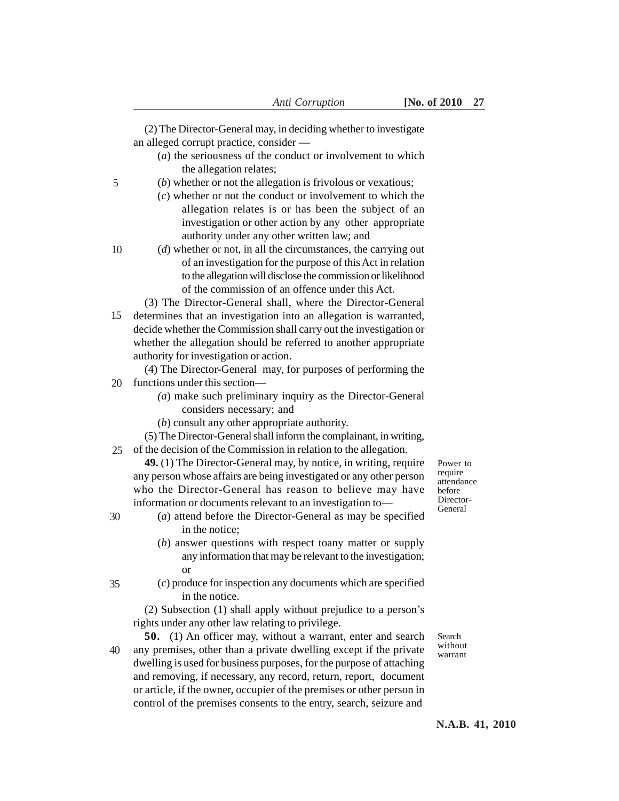- (*a*) the seriousness of the conduct or involvement to which the allegation relates;
- (*b*) whether or not the allegation is frivolous or vexatious;
	- (*c*) whether or not the conduct or involvement to which the allegation relates is or has been the subject of an investigation or other action by any other appropriate authority under any other written law; and
	- (*d*) whether or not, in all the circumstances, the carrying out of an investigation for the purpose of this Act in relation to the allegation will disclose the commission or likelihood of the commission of an offence under this Act.
- (3) The Director-General shall, where the Director-General 15 determines that an investigation into an allegation is warranted, decide whether the Commission shall carry out the investigation or whether the allegation should be referred to another appropriate authority for investigation or action.

(4) The Director-General may, for purposes of performing the 20 functions under this section—

- *(a*) make such preliminary inquiry as the Director-General considers necessary; and
- (*b*) consult any other appropriate authority.
- (5) The Director-General shall inform the complainant, in writing, 25 of the decision of the Commission in relation to the allegation.

**49.** (1) The Director-General may, by notice, in writing, require any person whose affairs are being investigated or any other person who the Director-General has reason to believe may have information or documents relevant to an investigation to—

30

35

5

10

- (*a*) attend before the Director-General as may be specified in the notice;
- (*b*) answer questions with respect toany matter or supply any information that may be relevant to the investigation; or
- (*c*) produce for inspection any documents which are specified in the notice.

(2) Subsection (1) shall apply without prejudice to a person's rights under any other law relating to privilege.

**50.** (1) An officer may, without a warrant, enter and search any premises, other than a private dwelling except if the private dwelling is used for business purposes, for the purpose of attaching and removing, if necessary, any record, return, report, document or article, if the owner, occupier of the premises or other person in control of the premises consents to the entry, search, seizure and 40

Search without warrant

Power to require attendance before Director-General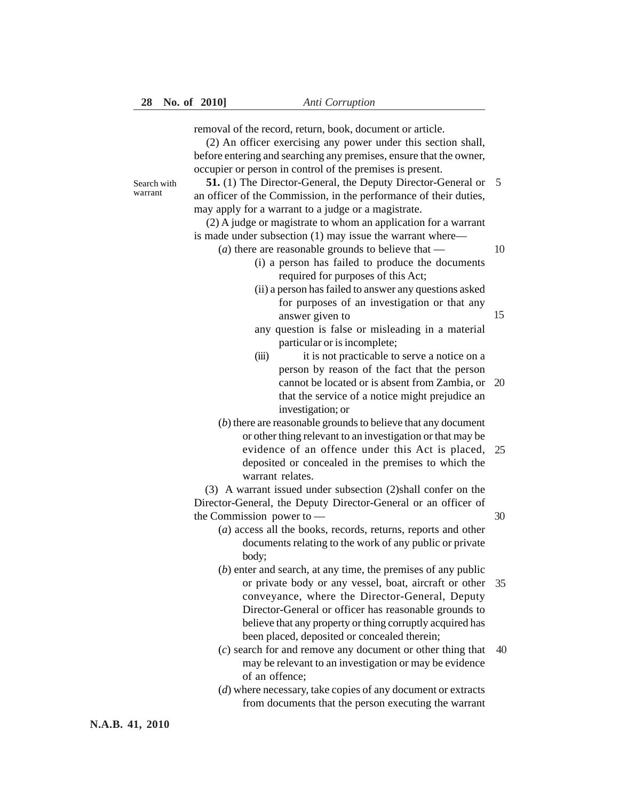removal of the record, return, book, document or article.

(2) An officer exercising any power under this section shall, before entering and searching any premises, ensure that the owner, occupier or person in control of the premises is present.

Search with warrant

**51.** (1) The Director-General, the Deputy Director-General or 5 an officer of the Commission, in the performance of their duties, may apply for a warrant to a judge or a magistrate.

(2) A judge or magistrate to whom an application for a warrant is made under subsection (1) may issue the warrant where—

(*a*) there are reasonable grounds to believe that —

- (i) a person has failed to produce the documents required for purposes of this Act;
- (ii) a person has failed to answer any questions asked for purposes of an investigation or that any answer given to
- any question is false or misleading in a material particular or is incomplete;
- (iii) it is not practicable to serve a notice on a person by reason of the fact that the person cannot be located or is absent from Zambia, or 20 that the service of a notice might prejudice an investigation; or
- (*b*) there are reasonable grounds to believe that any document or other thing relevant to an investigation or that may be evidence of an offence under this Act is placed, 25 deposited or concealed in the premises to which the warrant relates.

(3) A warrant issued under subsection (2)shall confer on the Director-General, the Deputy Director-General or an officer of the Commission power to —

- (*a*) access all the books, records, returns, reports and other documents relating to the work of any public or private body;
- (*b*) enter and search, at any time, the premises of any public or private body or any vessel, boat, aircraft or other 35 conveyance, where the Director-General, Deputy Director-General or officer has reasonable grounds to believe that any property or thing corruptly acquired has been placed, deposited or concealed therein;
- (*c*) search for and remove any document or other thing that may be relevant to an investigation or may be evidence of an offence; 40
- (*d*) where necessary, take copies of any document or extracts from documents that the person executing the warrant

**N.A.B. 41, 2010**

15

30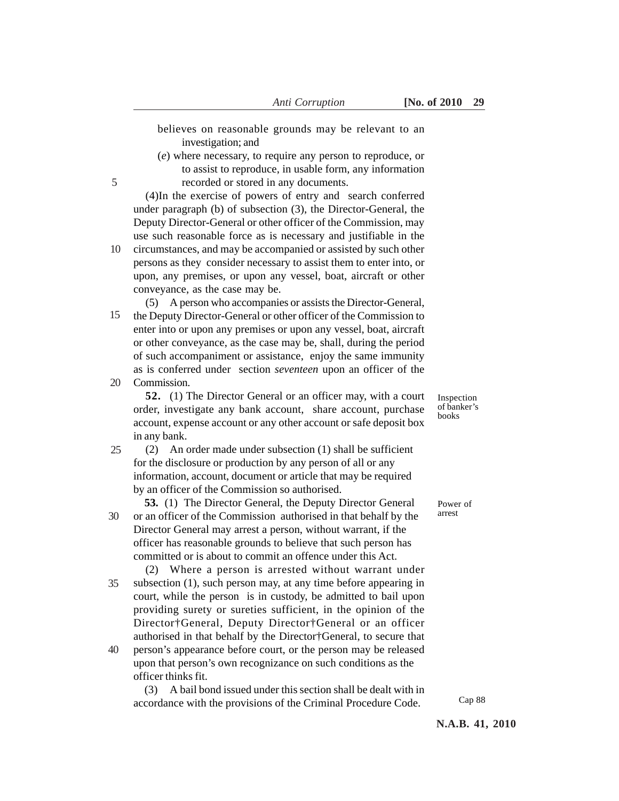believes on reasonable grounds may be relevant to an investigation; and

(*e*) where necessary, to require any person to reproduce, or to assist to reproduce, in usable form, any information recorded or stored in any documents.

(4)In the exercise of powers of entry and search conferred under paragraph (b) of subsection (3), the Director-General, the Deputy Director-General or other officer of the Commission, may use such reasonable force as is necessary and justifiable in the

circumstances, and may be accompanied or assisted by such other persons as they consider necessary to assist them to enter into, or upon, any premises, or upon any vessel, boat, aircraft or other conveyance, as the case may be. 10

(5) A person who accompanies or assists the Director-General, the Deputy Director-General or other officer of the Commission to enter into or upon any premises or upon any vessel, boat, aircraft or other conveyance, as the case may be, shall, during the period of such accompaniment or assistance, enjoy the same immunity as is conferred under section *seventeen* upon an officer of the 15

**Commission** 20

5

**52.** (1) The Director General or an officer may, with a court order, investigate any bank account, share account, purchase account, expense account or any other account or safe deposit box in any bank.

(2) An order made under subsection (1) shall be sufficient for the disclosure or production by any person of all or any information, account, document or article that may be required by an officer of the Commission so authorised. 25

**53.** (1) The Director General, the Deputy Director General or an officer of the Commission authorised in that behalf by the Director General may arrest a person, without warrant, if the officer has reasonable grounds to believe that such person has committed or is about to commit an offence under this Act. 30

(2) Where a person is arrested without warrant under subsection (1), such person may, at any time before appearing in court, while the person is in custody, be admitted to bail upon providing surety or sureties sufficient, in the opinion of the Director†General, Deputy Director†General or an officer authorised in that behalf by the Director†General, to secure that 35

person's appearance before court, or the person may be released upon that person's own recognizance on such conditions as the officer thinks fit. 40

(3) A bail bond issued under this section shall be dealt with in accordance with the provisions of the Criminal Procedure Code.

Inspection of banker's books

Power of arrest

Cap 88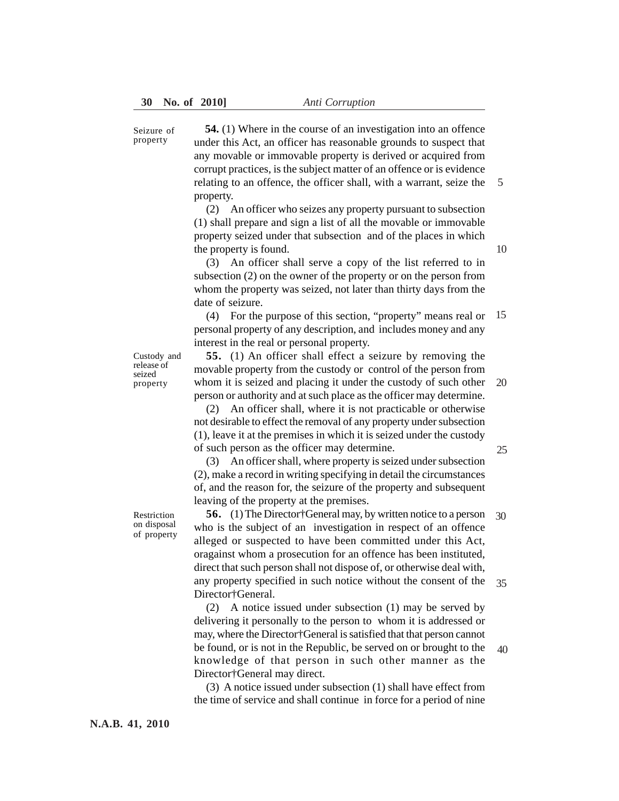Seizure of property

**54.** (1) Where in the course of an investigation into an offence under this Act, an officer has reasonable grounds to suspect that any movable or immovable property is derived or acquired from corrupt practices, is the subject matter of an offence or is evidence relating to an offence, the officer shall, with a warrant, seize the property.

(2) An officer who seizes any property pursuant to subsection (1) shall prepare and sign a list of all the movable or immovable property seized under that subsection and of the places in which the property is found.

(3) An officer shall serve a copy of the list referred to in subsection (2) on the owner of the property or on the person from whom the property was seized, not later than thirty days from the date of seizure.

(4) For the purpose of this section, "property" means real or 15 personal property of any description, and includes money and any interest in the real or personal property.

Custody and release of seized property

**55.** (1) An officer shall effect a seizure by removing the movable property from the custody or control of the person from whom it is seized and placing it under the custody of such other person or authority and at such place as the officer may determine. 20

(2) An officer shall, where it is not practicable or otherwise not desirable to effect the removal of any property under subsection (1), leave it at the premises in which it is seized under the custody of such person as the officer may determine.

25

(3) An officer shall, where property is seized under subsection (2), make a record in writing specifying in detail the circumstances of, and the reason for, the seizure of the property and subsequent leaving of the property at the premises.

Restriction on disposal of property

**56.** (1) The Director†General may, by written notice to a person who is the subject of an investigation in respect of an offence alleged or suspected to have been committed under this Act, oragainst whom a prosecution for an offence has been instituted, direct that such person shall not dispose of, or otherwise deal with, any property specified in such notice without the consent of the Director†General. 30 35

(2) A notice issued under subsection (1) may be served by delivering it personally to the person to whom it is addressed or may, where the Director†General is satisfied that that person cannot be found, or is not in the Republic, be served on or brought to the knowledge of that person in such other manner as the Director†General may direct. 40

(3) A notice issued under subsection (1) shall have effect from the time of service and shall continue in force for a period of nine 10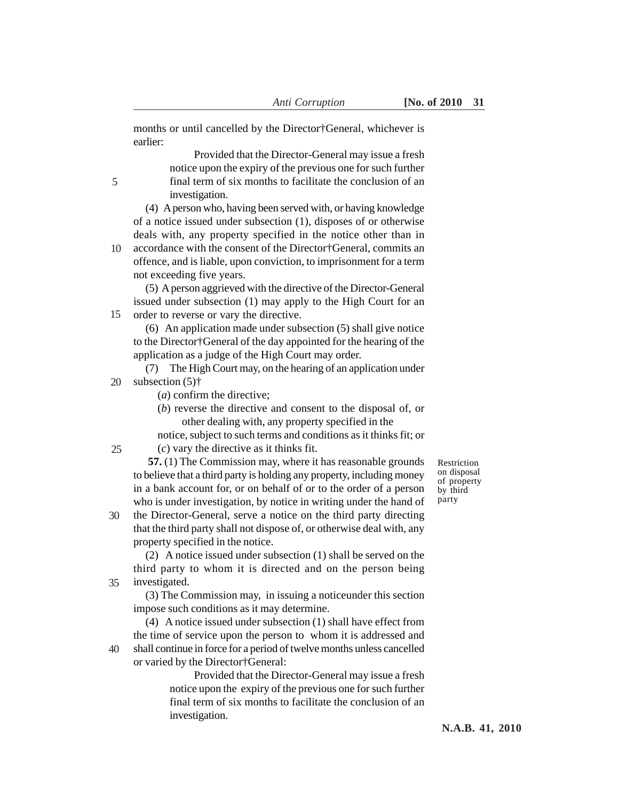months or until cancelled by the Director†General, whichever is earlier:

> Provided that the Director-General may issue a fresh notice upon the expiry of the previous one for such further final term of six months to facilitate the conclusion of an investigation.

(4) A person who, having been served with, or having knowledge of a notice issued under subsection (1), disposes of or otherwise deals with, any property specified in the notice other than in

accordance with the consent of the Director†General, commits an offence, and is liable, upon conviction, to imprisonment for a term not exceeding five years. 10

(5) A person aggrieved with the directive of the Director-General issued under subsection (1) may apply to the High Court for an order to reverse or vary the directive. 15

(6) An application made under subsection (5) shall give notice to the Director†General of the day appointed for the hearing of the application as a judge of the High Court may order.

(7) The High Court may, on the hearing of an application under subsection (5)† 20

- (*a*) confirm the directive;
- (*b*) reverse the directive and consent to the disposal of, or other dealing with, any property specified in the

notice, subject to such terms and conditions as it thinks fit; or (*c*) vary the directive as it thinks fit.

 **57.** (1) The Commission may, where it has reasonable grounds to believe that a third party is holding any property, including money in a bank account for, or on behalf of or to the order of a person who is under investigation, by notice in writing under the hand of

the Director-General, serve a notice on the third party directing that the third party shall not dispose of, or otherwise deal with, any property specified in the notice. 30

(2) A notice issued under subsection (1) shall be served on the third party to whom it is directed and on the person being investigated. 35

(3) The Commission may, in issuing a noticeunder this section impose such conditions as it may determine.

(4) A notice issued under subsection (1) shall have effect from the time of service upon the person to whom it is addressed and shall continue in force for a period of twelve months unless cancelled or varied by the Director†General:

> Provided that the Director-General may issue a fresh notice upon the expiry of the previous one for such further final term of six months to facilitate the conclusion of an investigation.

Restriction on disposal of property by third party

**N.A.B. 41, 2010**

5

40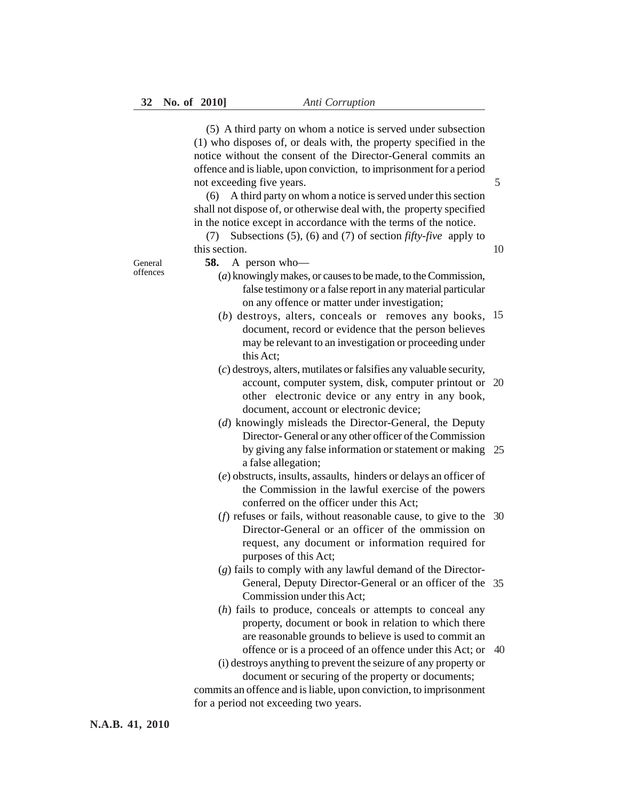(5) A third party on whom a notice is served under subsection (1) who disposes of, or deals with, the property specified in the notice without the consent of the Director-General commits an offence and is liable, upon conviction, to imprisonment for a period not exceeding five years.

(6) A third party on whom a notice is served under this section shall not dispose of, or otherwise deal with, the property specified in the notice except in accordance with the terms of the notice.

(7) Subsections (5), (6) and (7) of section *fifty-five* apply to this section.

General offences **58.** A person who—

- (*a*) knowingly makes, or causes to be made, to the Commission, false testimony or a false report in any material particular on any offence or matter under investigation;
- (*b*) destroys, alters, conceals or removes any books, 15 document, record or evidence that the person believes may be relevant to an investigation or proceeding under this Act;
- (*c*) destroys, alters, mutilates or falsifies any valuable security, account, computer system, disk, computer printout or 20 other electronic device or any entry in any book, document, account or electronic device;
- (*d*) knowingly misleads the Director-General, the Deputy Director- General or any other officer of the Commission by giving any false information or statement or making 25 a false allegation;
- (*e*) obstructs, insults, assaults, hinders or delays an officer of the Commission in the lawful exercise of the powers conferred on the officer under this Act;
- (*f*) refuses or fails, without reasonable cause, to give to the 30 Director-General or an officer of the ommission on request, any document or information required for purposes of this Act;
- (*g*) fails to comply with any lawful demand of the Director-General, Deputy Director-General or an officer of the 35 Commission under this Act;
- (*h*) fails to produce, conceals or attempts to conceal any property, document or book in relation to which there are reasonable grounds to believe is used to commit an offence or is a proceed of an offence under this Act; or 40
- (i) destroys anything to prevent the seizure of any property or document or securing of the property or documents; commits an offence and is liable, upon conviction, to imprisonment for a period not exceeding two years.

**N.A.B. 41, 2010**

5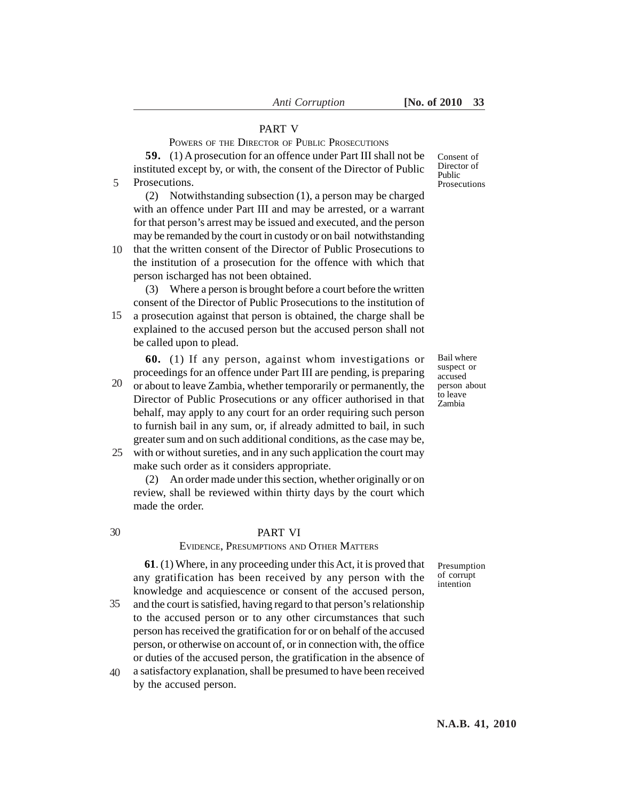## PART V

POWERS OF THE DIRECTOR OF PUBLIC PROSECUTIONS

**59.** (1) A prosecution for an offence under Part III shall not be instituted except by, or with, the consent of the Director of Public Prosecutions. 5

(2) Notwithstanding subsection (1), a person may be charged with an offence under Part III and may be arrested, or a warrant for that person's arrest may be issued and executed, and the person may be remanded by the court in custody or on bail notwithstanding

that the written consent of the Director of Public Prosecutions to the institution of a prosecution for the offence with which that person ischarged has not been obtained. 10

(3) Where a person is brought before a court before the written consent of the Director of Public Prosecutions to the institution of a prosecution against that person is obtained, the charge shall be explained to the accused person but the accused person shall not be called upon to plead. 15

**60.** (1) If any person, against whom investigations or proceedings for an offence under Part III are pending, is preparing or about to leave Zambia, whether temporarily or permanently, the Director of Public Prosecutions or any officer authorised in that behalf, may apply to any court for an order requiring such person to furnish bail in any sum, or, if already admitted to bail, in such greater sum and on such additional conditions, as the case may be, 20

with or without sureties, and in any such application the court may 25 make such order as it considers appropriate.

(2) An order made under this section, whether originally or on review, shall be reviewed within thirty days by the court which made the order.

30

#### PART VI

#### EVIDENCE, PRESUMPTIONS AND OTHER MATTERS

**61**. (1) Where, in any proceeding under this Act, it is proved that any gratification has been received by any person with the knowledge and acquiescence or consent of the accused person,

- and the court is satisfied, having regard to that person's relationship to the accused person or to any other circumstances that such person has received the gratification for or on behalf of the accused person, or otherwise on account of, or in connection with, the office or duties of the accused person, the gratification in the absence of 35
- a satisfactory explanation, shall be presumed to have been received by the accused person. 40

Consent of Director of Public Prosecutions

Bail where suspect or accused person about to leave Zambia

Presumption of corrupt intention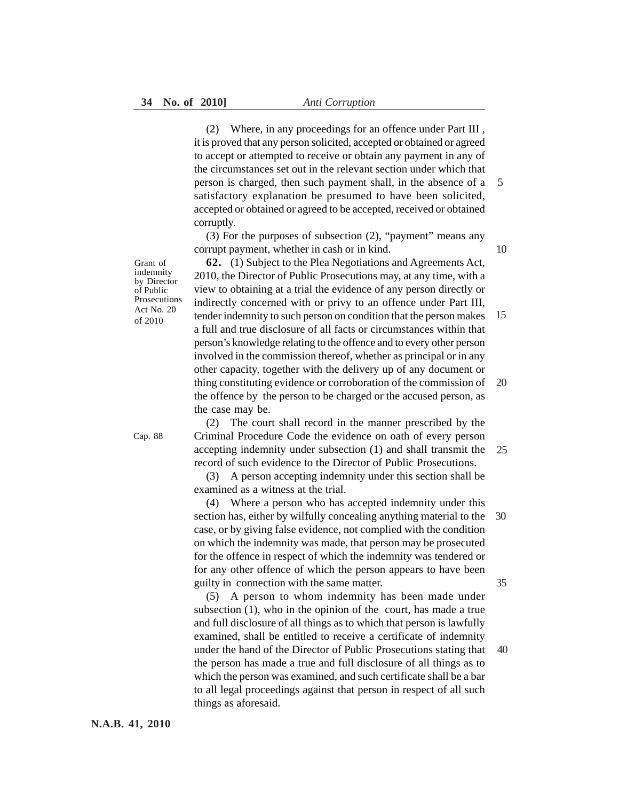(2) Where, in any proceedings for an offence under Part III , it is proved that any person solicited, accepted or obtained or agreed to accept or attempted to receive or obtain any payment in any of the circumstances set out in the relevant section under which that person is charged, then such payment shall, in the absence of a satisfactory explanation be presumed to have been solicited, accepted or obtained or agreed to be accepted, received or obtained corruptly.

(3) For the purposes of subsection (2), "payment" means any corrupt payment, whether in cash or in kind.

Grant of indemnity by Director of Public Prosecutions Act No. 20 of 2010

**62.** (1) Subject to the Plea Negotiations and Agreements Act, 2010, the Director of Public Prosecutions may, at any time, with a view to obtaining at a trial the evidence of any person directly or indirectly concerned with or privy to an offence under Part III, tender indemnity to such person on condition that the person makes a full and true disclosure of all facts or circumstances within that person's knowledge relating to the offence and to every other person involved in the commission thereof, whether as principal or in any other capacity, together with the delivery up of any document or thing constituting evidence or corroboration of the commission of the offence by the person to be charged or the accused person, as the case may be. 15 20

Cap. 88

(2) The court shall record in the manner prescribed by the Criminal Procedure Code the evidence on oath of every person accepting indemnity under subsection (1) and shall transmit the record of such evidence to the Director of Public Prosecutions. 25

(3) A person accepting indemnity under this section shall be examined as a witness at the trial.

(4) Where a person who has accepted indemnity under this section has, either by wilfully concealing anything material to the case, or by giving false evidence, not complied with the condition on which the indemnity was made, that person may be prosecuted for the offence in respect of which the indemnity was tendered or for any other offence of which the person appears to have been guilty in connection with the same matter. 30 35

(5) A person to whom indemnity has been made under subsection (1), who in the opinion of the court, has made a true and full disclosure of all things as to which that person is lawfully examined, shall be entitled to receive a certificate of indemnity under the hand of the Director of Public Prosecutions stating that the person has made a true and full disclosure of all things as to which the person was examined, and such certificate shall be a bar to all legal proceedings against that person in respect of all such things as aforesaid. 40

**N.A.B. 41, 2010**

10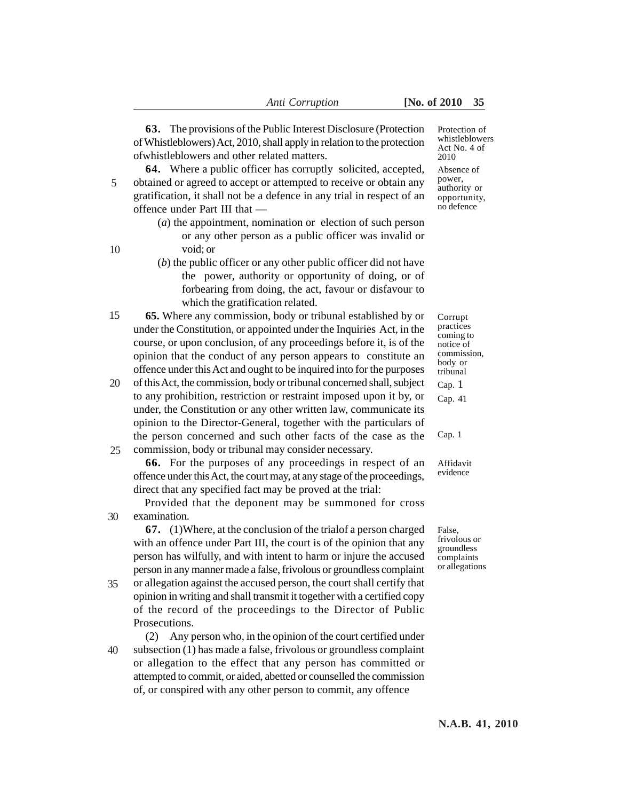**63.** The provisions of the Public Interest Disclosure (Protection of Whistleblowers) Act, 2010, shall apply in relation to the protection ofwhistleblowers and other related matters.

**64.** Where a public officer has corruptly solicited, accepted, obtained or agreed to accept or attempted to receive or obtain any gratification, it shall not be a defence in any trial in respect of an offence under Part III that — 5

- (*a*) the appointment, nomination or election of such person or any other person as a public officer was invalid or void; or
- (*b*) the public officer or any other public officer did not have the power, authority or opportunity of doing, or of forbearing from doing, the act, favour or disfavour to which the gratification related.
- **65.** Where any commission, body or tribunal established by or under the Constitution, or appointed under the Inquiries Act, in the course, or upon conclusion, of any proceedings before it, is of the opinion that the conduct of any person appears to constitute an offence under this Act and ought to be inquired into for the purposes 15
- of this Act, the commission, body or tribunal concerned shall, subject to any prohibition, restriction or restraint imposed upon it by, or under, the Constitution or any other written law, communicate its opinion to the Director-General, together with the particulars of the person concerned and such other facts of the case as the commission, body or tribunal may consider necessary. 20 25

**66.** For the purposes of any proceedings in respect of an offence under this Act, the court may, at any stage of the proceedings, direct that any specified fact may be proved at the trial:

Provided that the deponent may be summoned for cross examination. 30

**67.** (1)Where, at the conclusion of the trialof a person charged with an offence under Part III, the court is of the opinion that any person has wilfully, and with intent to harm or injure the accused person in any manner made a false, frivolous or groundless complaint

or allegation against the accused person, the court shall certify that opinion in writing and shall transmit it together with a certified copy of the record of the proceedings to the Director of Public Prosecutions. 35

(2) Any person who, in the opinion of the court certified under subsection (1) has made a false, frivolous or groundless complaint or allegation to the effect that any person has committed or attempted to commit, or aided, abetted or counselled the commission of, or conspired with any other person to commit, any offence 40

Protection of whistleblowers Act No. 4 of 2010 Absence of power, authority or opportunity,

no defence

Corrupt practices coming to notice of commission, body or tribunal Cap. 1 Cap. 41

Cap. 1

Affidavit evidence

False, frivolous or groundless complaints or allegations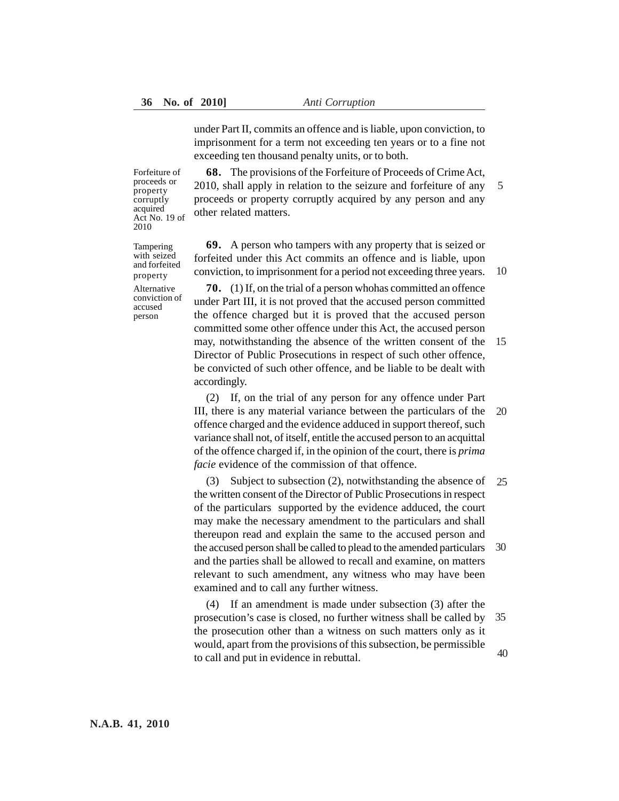under Part II, commits an offence and is liable, upon conviction, to imprisonment for a term not exceeding ten years or to a fine not exceeding ten thousand penalty units, or to both.

**68.** The provisions of the Forfeiture of Proceeds of Crime Act, 2010, shall apply in relation to the seizure and forfeiture of any proceeds or property corruptly acquired by any person and any other related matters. 5

**69.** A person who tampers with any property that is seized or forfeited under this Act commits an offence and is liable, upon conviction, to imprisonment for a period not exceeding three years. 10

**70.** (1) If, on the trial of a person whohas committed an offence under Part III, it is not proved that the accused person committed the offence charged but it is proved that the accused person committed some other offence under this Act, the accused person may, notwithstanding the absence of the written consent of the Director of Public Prosecutions in respect of such other offence, be convicted of such other offence, and be liable to be dealt with accordingly. 15

(2) If, on the trial of any person for any offence under Part III, there is any material variance between the particulars of the offence charged and the evidence adduced in support thereof, such variance shall not, of itself, entitle the accused person to an acquittal of the offence charged if, in the opinion of the court, there is *prima facie* evidence of the commission of that offence. 20

(3) Subject to subsection (2), notwithstanding the absence of the written consent of the Director of Public Prosecutions in respect of the particulars supported by the evidence adduced, the court may make the necessary amendment to the particulars and shall thereupon read and explain the same to the accused person and the accused person shall be called to plead to the amended particulars and the parties shall be allowed to recall and examine, on matters relevant to such amendment, any witness who may have been examined and to call any further witness. 25 30

(4) If an amendment is made under subsection (3) after the prosecution's case is closed, no further witness shall be called by the prosecution other than a witness on such matters only as it would, apart from the provisions of this subsection, be permissible to call and put in evidence in rebuttal. 35 40

Act No. 19 of 2010 Tampering with seized and forfeited

Forfeiture of proceeds or property corruptly acquired

Alternative conviction of accused person

property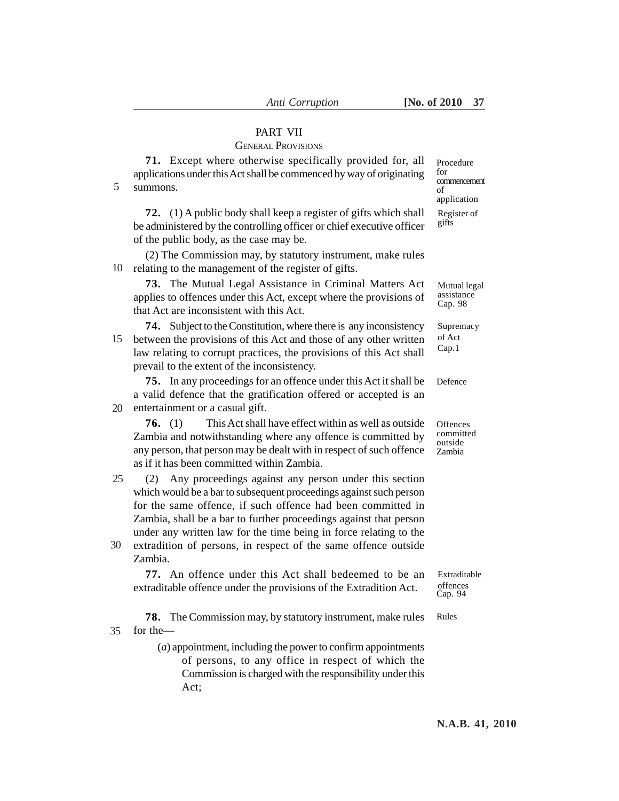# PART VII

# GENERAL PROVISIONS

| 5  | 71. Except where otherwise specifically provided for, all<br>applications under this Act shall be commenced by way of originating<br>summons.                                                                                                                                                                                               | Procedure<br>for<br>commencement<br>of<br>application |
|----|---------------------------------------------------------------------------------------------------------------------------------------------------------------------------------------------------------------------------------------------------------------------------------------------------------------------------------------------|-------------------------------------------------------|
|    | 72. (1) A public body shall keep a register of gifts which shall<br>be administered by the controlling officer or chief executive officer<br>of the public body, as the case may be.                                                                                                                                                        | Register of<br>gifts                                  |
| 10 | (2) The Commission may, by statutory instrument, make rules<br>relating to the management of the register of gifts.                                                                                                                                                                                                                         |                                                       |
|    | 73. The Mutual Legal Assistance in Criminal Matters Act<br>applies to offences under this Act, except where the provisions of<br>that Act are inconsistent with this Act.                                                                                                                                                                   | Mutual legal<br>assistance<br>Cap. 98                 |
| 15 | <b>74.</b> Subject to the Constitution, where there is any inconsistency<br>between the provisions of this Act and those of any other written<br>law relating to corrupt practices, the provisions of this Act shall<br>prevail to the extent of the inconsistency.                                                                         | Supremacy<br>of Act<br>Cap.1                          |
| 20 | 75. In any proceedings for an offence under this Act it shall be<br>a valid defence that the gratification offered or accepted is an<br>entertainment or a casual gift.                                                                                                                                                                     | Defence                                               |
|    | This Act shall have effect within as well as outside<br>76. $(1)$<br>Zambia and notwithstanding where any offence is committed by<br>any person, that person may be dealt with in respect of such offence<br>as if it has been committed within Zambia.                                                                                     | Offences<br>committed<br>outside<br>Zambia            |
| 25 | Any proceedings against any person under this section<br>(2)<br>which would be a bar to subsequent proceedings against such person<br>for the same offence, if such offence had been committed in<br>Zambia, shall be a bar to further proceedings against that person<br>under any written law for the time being in force relating to the |                                                       |
| 30 | extradition of persons, in respect of the same offence outside<br>Zambia.                                                                                                                                                                                                                                                                   |                                                       |
|    | 77. An offence under this Act shall bedeemed to be an<br>extraditable offence under the provisions of the Extradition Act.                                                                                                                                                                                                                  | Extraditable<br>offences<br>Cap. 94                   |
| 35 | <b>78.</b> The Commission may, by statutory instrument, make rules<br>for the-                                                                                                                                                                                                                                                              | Rules                                                 |
|    | $(a)$ appointment, including the power to confirm appointments<br>of persons, to any office in respect of which the<br>Commission is charged with the responsibility under this<br>Act;                                                                                                                                                     |                                                       |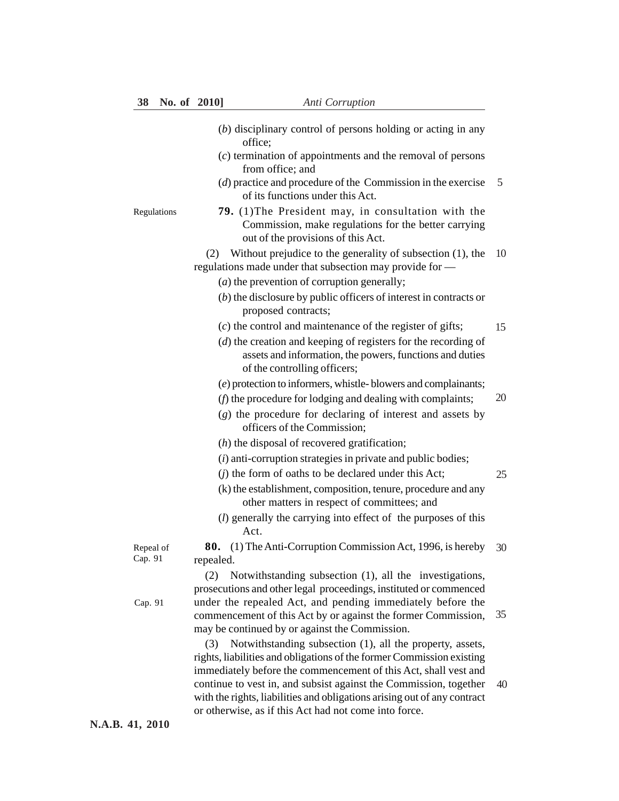|                      | $(b)$ disciplinary control of persons holding or acting in any<br>office;                                                                                    |    |
|----------------------|--------------------------------------------------------------------------------------------------------------------------------------------------------------|----|
|                      | $(c)$ termination of appointments and the removal of persons<br>from office; and                                                                             |    |
|                      | $(d)$ practice and procedure of the Commission in the exercise<br>of its functions under this Act.                                                           | 5  |
| Regulations          | 79. (1) The President may, in consultation with the<br>Commission, make regulations for the better carrying<br>out of the provisions of this Act.            |    |
|                      | Without prejudice to the generality of subsection (1), the<br>(2)<br>regulations made under that subsection may provide for -                                | 10 |
|                      | $(a)$ the prevention of corruption generally;                                                                                                                |    |
|                      | $(b)$ the disclosure by public officers of interest in contracts or<br>proposed contracts;                                                                   |    |
|                      | $(c)$ the control and maintenance of the register of gifts;                                                                                                  | 15 |
|                      | $(d)$ the creation and keeping of registers for the recording of<br>assets and information, the powers, functions and duties<br>of the controlling officers; |    |
|                      | (e) protection to informers, whistle-blowers and complainants;                                                                                               |    |
|                      | (f) the procedure for lodging and dealing with complaints;                                                                                                   | 20 |
|                      | (g) the procedure for declaring of interest and assets by<br>officers of the Commission;                                                                     |    |
|                      | $(h)$ the disposal of recovered gratification;                                                                                                               |    |
|                      | $(i)$ anti-corruption strategies in private and public bodies;                                                                                               |    |
|                      | $(j)$ the form of oaths to be declared under this Act;                                                                                                       | 25 |
|                      | (k) the establishment, composition, tenure, procedure and any<br>other matters in respect of committees; and                                                 |    |
|                      | (l) generally the carrying into effect of the purposes of this<br>Act.                                                                                       |    |
| Repeal of<br>Cap. 91 | <b>80.</b> (1) The Anti-Corruption Commission Act, 1996, is hereby<br>repealed.                                                                              | 30 |
|                      | Notwithstanding subsection (1), all the investigations,<br>(2)                                                                                               |    |
|                      | prosecutions and other legal proceedings, instituted or commenced                                                                                            |    |
| Cap. 91              | under the repealed Act, and pending immediately before the                                                                                                   | 35 |
|                      | commencement of this Act by or against the former Commission,<br>may be continued by or against the Commission.                                              |    |
|                      | Notwithstanding subsection (1), all the property, assets,<br>(3)                                                                                             |    |
|                      | rights, liabilities and obligations of the former Commission existing                                                                                        |    |
|                      | immediately before the commencement of this Act, shall vest and                                                                                              |    |
|                      | continue to vest in, and subsist against the Commission, together                                                                                            | 40 |
|                      | with the rights, liabilities and obligations arising out of any contract<br>or otherwise, as if this Act had not come into force.                            |    |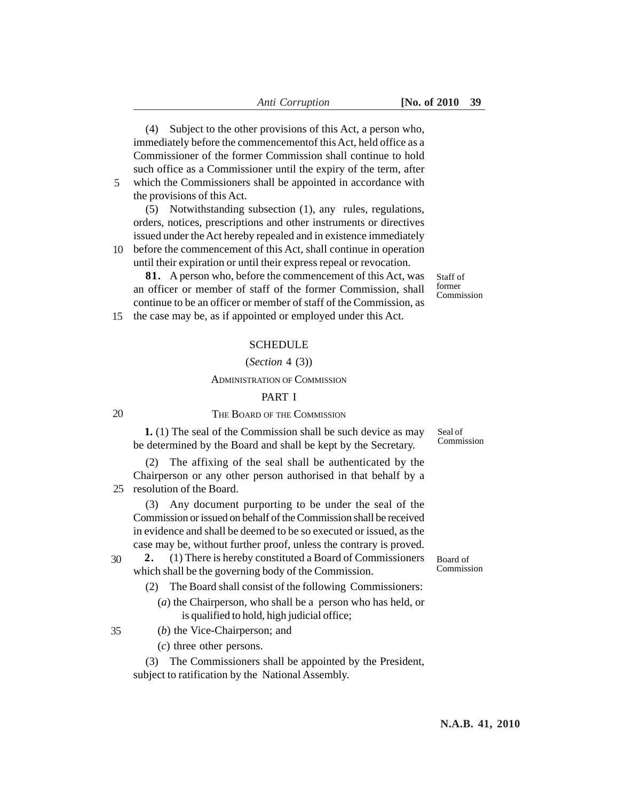(4) Subject to the other provisions of this Act, a person who, immediately before the commencementof this Act, held office as a Commissioner of the former Commission shall continue to hold such office as a Commissioner until the expiry of the term, after which the Commissioners shall be appointed in accordance with

5

the provisions of this Act. (5) Notwithstanding subsection (1), any rules, regulations, orders, notices, prescriptions and other instruments or directives issued under the Act hereby repealed and in existence immediately

before the commencement of this Act, shall continue in operation 10 until their expiration or until their express repeal or revocation.

**81.** A person who, before the commencement of this Act, was an officer or member of staff of the former Commission, shall continue to be an officer or member of staff of the Commission, as

Staff of former Commission

the case may be, as if appointed or employed under this Act. 15

#### **SCHEDULE**

#### (*Section* 4 (3))

#### ADMINISTRATION OF COMMISSION

#### PART I

| ۰.<br>×           |  |
|-------------------|--|
| I<br>٠<br>×<br>۰, |  |

35

## THE BOARD OF THE COMMISSION

**1.** (1) The seal of the Commission shall be such device as may be determined by the Board and shall be kept by the Secretary.

(2) The affixing of the seal shall be authenticated by the Chairperson or any other person authorised in that behalf by a 25 resolution of the Board.

(3) Any document purporting to be under the seal of the Commission or issued on behalf of the Commission shall be received in evidence and shall be deemed to be so executed or issued, as the case may be, without further proof, unless the contrary is proved.

**2.** (1) There is hereby constituted a Board of Commissioners which shall be the governing body of the Commission. 30

- (2) The Board shall consist of the following Commissioners:
	- (*a*) the Chairperson, who shall be a person who has held, or is qualified to hold, high judicial office;

(*b*) the Vice-Chairperson; and

(*c*) three other persons.

(3) The Commissioners shall be appointed by the President, subject to ratification by the National Assembly.

Seal of Commission

Board of Commission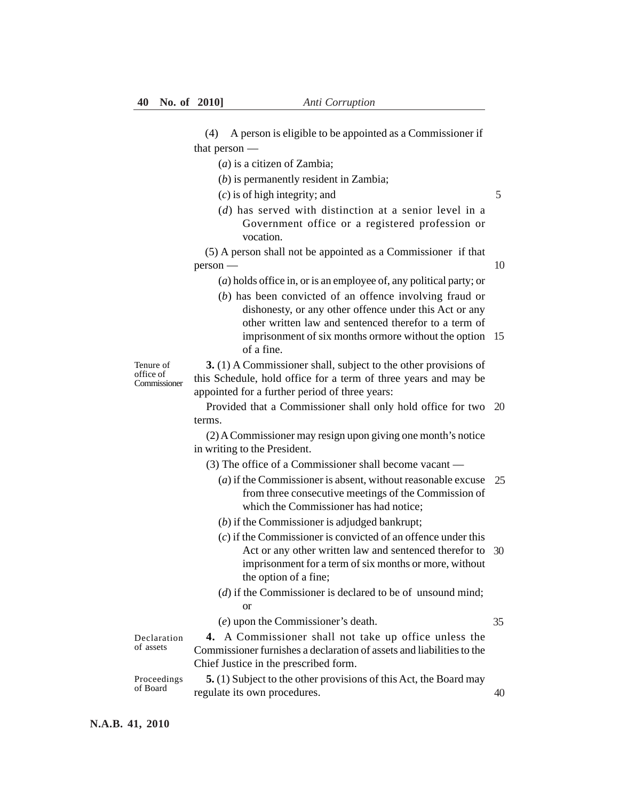(4) A person is eligible to be appointed as a Commissioner if that person —

(*a*) is a citizen of Zambia;

(*b*) is permanently resident in Zambia;

(*c*) is of high integrity; and

(*d*) has served with distinction at a senior level in a Government office or a registered profession or vocation.

(5) A person shall not be appointed as a Commissioner if that person —

10

5

(*a*) holds office in, or is an employee of, any political party; or

(*b*) has been convicted of an offence involving fraud or dishonesty, or any other offence under this Act or any other written law and sentenced therefor to a term of imprisonment of six months ormore without the option 15 of a fine.

Tenure of office of Commissioner

**3.** (1) A Commissioner shall, subject to the other provisions of this Schedule, hold office for a term of three years and may be appointed for a further period of three years:

Provided that a Commissioner shall only hold office for two 20 terms.

(2) A Commissioner may resign upon giving one month's notice in writing to the President.

(3) The office of a Commissioner shall become vacant —

- (*a*) if the Commissioner is absent, without reasonable excuse 25 from three consecutive meetings of the Commission of which the Commissioner has had notice;
- (*b*) if the Commissioner is adjudged bankrupt;
- (*c*) if the Commissioner is convicted of an offence under this Act or any other written law and sentenced therefor to 30 imprisonment for a term of six months or more, without the option of a fine;
- (*d*) if the Commissioner is declared to be of unsound mind; or
- (*e*) upon the Commissioner's death.

35

40

Declaration of assets

**4.** A Commissioner shall not take up office unless the Commissioner furnishes a declaration of assets and liabilities to the Chief Justice in the prescribed form.

**5.** (1) Subject to the other provisions of this Act, the Board may regulate its own procedures. Proceedings of Board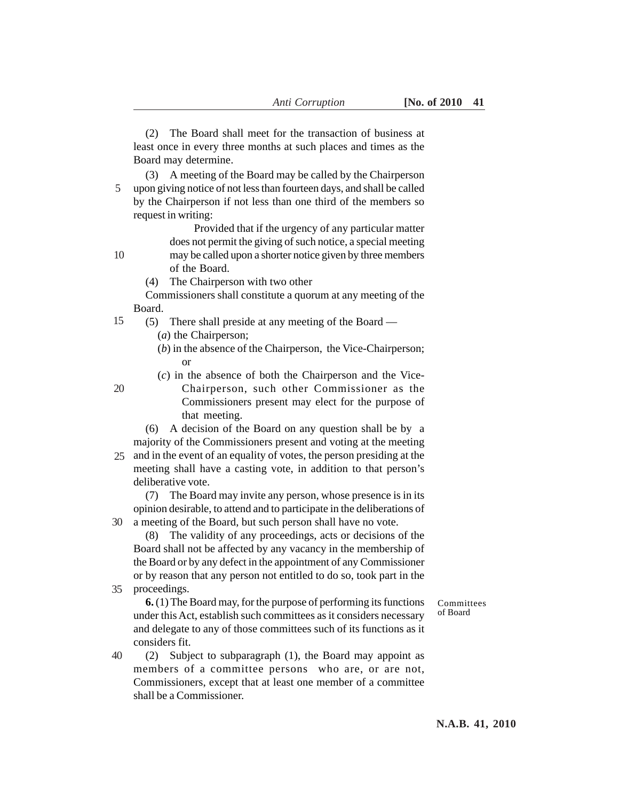(2) The Board shall meet for the transaction of business at least once in every three months at such places and times as the Board may determine.

(3) A meeting of the Board may be called by the Chairperson upon giving notice of not less than fourteen days, and shall be called by the Chairperson if not less than one third of the members so request in writing: 5

> Provided that if the urgency of any particular matter does not permit the giving of such notice, a special meeting

may be called upon a shorter notice given by three members of the Board.

(4) The Chairperson with two other

Commissioners shall constitute a quorum at any meeting of the Board.

- (5) There shall preside at any meeting of the Board 15
	- (*a*) the Chairperson;

10

20

- (*b*) in the absence of the Chairperson, the Vice-Chairperson; or
- (*c*) in the absence of both the Chairperson and the Vice-
	- Chairperson, such other Commissioner as the Commissioners present may elect for the purpose of that meeting.
- (6) A decision of the Board on any question shall be by a majority of the Commissioners present and voting at the meeting
- 25 and in the event of an equality of votes, the person presiding at the meeting shall have a casting vote, in addition to that person's deliberative vote.

(7) The Board may invite any person, whose presence is in its opinion desirable, to attend and to participate in the deliberations of a meeting of the Board, but such person shall have no vote. 30

(8) The validity of any proceedings, acts or decisions of the Board shall not be affected by any vacancy in the membership of the Board or by any defect in the appointment of any Commissioner or by reason that any person not entitled to do so, took part in the proceedings.

35

**6.** (1) The Board may, for the purpose of performing its functions under this Act, establish such committees as it considers necessary and delegate to any of those committees such of its functions as it considers fit.

(2) Subject to subparagraph (1), the Board may appoint as members of a committee persons who are, or are not, Commissioners, except that at least one member of a committee shall be a Commissioner. 40

Committees of Board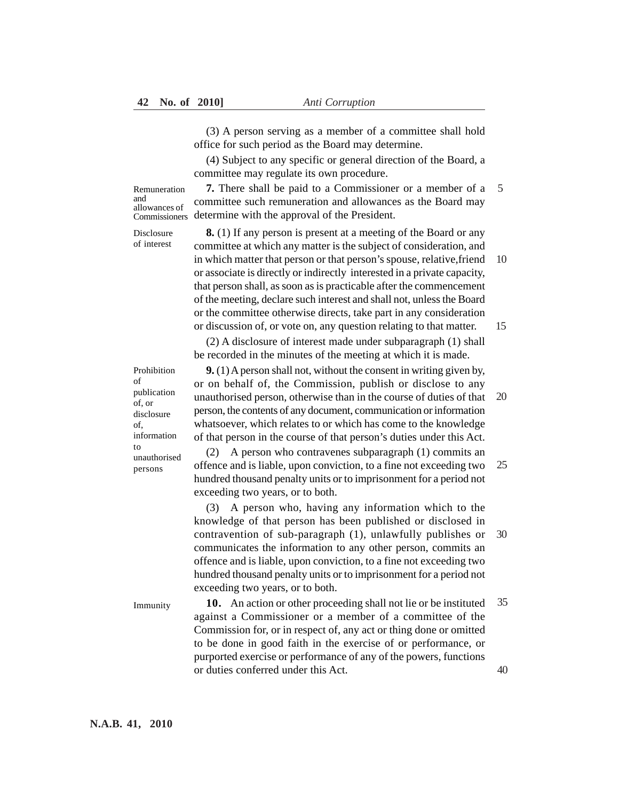(3) A person serving as a member of a committee shall hold office for such period as the Board may determine.

(4) Subject to any specific or general direction of the Board, a committee may regulate its own procedure.

Remuneration and allowances of

**7.** There shall be paid to a Commissioner or a member of a 5 committee such remuneration and allowances as the Board may determine with the approval of the President. Commissioners

Disclosure of interest

**8.** (1) If any person is present at a meeting of the Board or any committee at which any matter is the subject of consideration, and in which matter that person or that person's spouse, relative,friend or associate is directly or indirectly interested in a private capacity, that person shall, as soon as is practicable after the commencement of the meeting, declare such interest and shall not, unless the Board or the committee otherwise directs, take part in any consideration or discussion of, or vote on, any question relating to that matter. 10 15

(2) A disclosure of interest made under subparagraph (1) shall be recorded in the minutes of the meeting at which it is made.

**9.** (1) A person shall not, without the consent in writing given by, or on behalf of, the Commission, publish or disclose to any unauthorised person, otherwise than in the course of duties of that person, the contents of any document, communication or information whatsoever, which relates to or which has come to the knowledge of that person in the course of that person's duties under this Act. 20

(2) A person who contravenes subparagraph (1) commits an offence and is liable, upon conviction, to a fine not exceeding two hundred thousand penalty units or to imprisonment for a period not exceeding two years, or to both. 25

(3) A person who, having any information which to the knowledge of that person has been published or disclosed in contravention of sub-paragraph (1), unlawfully publishes or communicates the information to any other person, commits an offence and is liable, upon conviction, to a fine not exceeding two hundred thousand penalty units or to imprisonment for a period not exceeding two years, or to both. 30

Immunity

**10.** An action or other proceeding shall not lie or be instituted against a Commissioner or a member of a committee of the Commission for, or in respect of, any act or thing done or omitted to be done in good faith in the exercise of or performance, or purported exercise or performance of any of the powers, functions or duties conferred under this Act. 35 40

Prohibition of publication of, or disclosure of, information to unauthorised persons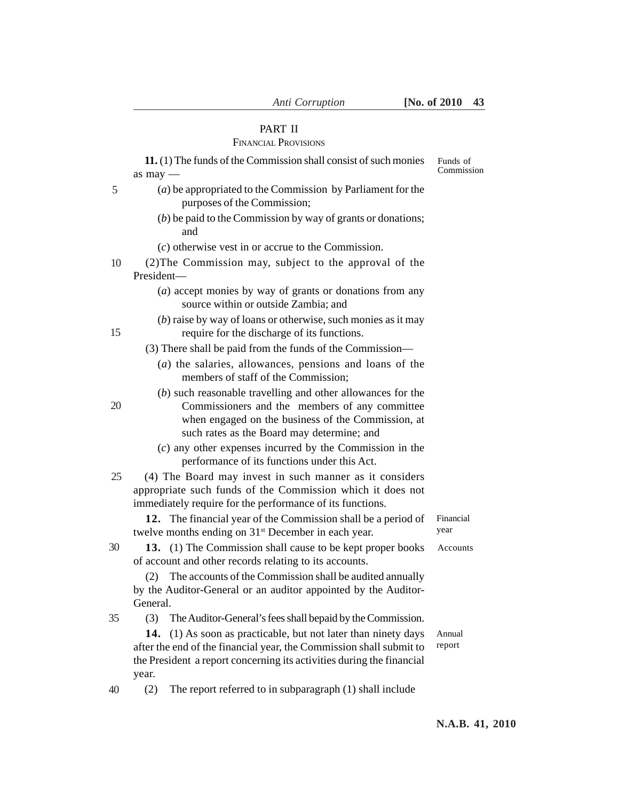# PART II

# FINANCIAL PROVISIONS

|    | 11. (1) The funds of the Commission shall consist of such monies                                                                                                                                                  | Funds of<br>Commission |
|----|-------------------------------------------------------------------------------------------------------------------------------------------------------------------------------------------------------------------|------------------------|
| 5  | as $may -$<br>$(a)$ be appropriated to the Commission by Parliament for the<br>purposes of the Commission;                                                                                                        |                        |
|    | $(b)$ be paid to the Commission by way of grants or donations;<br>and                                                                                                                                             |                        |
|    | $(c)$ otherwise vest in or accrue to the Commission.                                                                                                                                                              |                        |
| 10 | (2) The Commission may, subject to the approval of the<br>President-                                                                                                                                              |                        |
|    | (a) accept monies by way of grants or donations from any<br>source within or outside Zambia; and                                                                                                                  |                        |
| 15 | $(b)$ raise by way of loans or otherwise, such monies as it may<br>require for the discharge of its functions.                                                                                                    |                        |
|    | (3) There shall be paid from the funds of the Commission—                                                                                                                                                         |                        |
|    | $(a)$ the salaries, allowances, pensions and loans of the<br>members of staff of the Commission;                                                                                                                  |                        |
| 20 | (b) such reasonable travelling and other allowances for the<br>Commissioners and the members of any committee<br>when engaged on the business of the Commission, at<br>such rates as the Board may determine; and |                        |
|    | $(c)$ any other expenses incurred by the Commission in the<br>performance of its functions under this Act.                                                                                                        |                        |
| 25 | (4) The Board may invest in such manner as it considers<br>appropriate such funds of the Commission which it does not<br>immediately require for the performance of its functions.                                |                        |
|    | 12. The financial year of the Commission shall be a period of<br>twelve months ending on 31 <sup>st</sup> December in each year.                                                                                  | Financial<br>year      |
| 30 | 13. (1) The Commission shall cause to be kept proper books<br>of account and other records relating to its accounts.                                                                                              | Accounts               |
|    | The accounts of the Commission shall be audited annually<br>(2)                                                                                                                                                   |                        |
|    | by the Auditor-General or an auditor appointed by the Auditor-                                                                                                                                                    |                        |
|    | General.                                                                                                                                                                                                          |                        |
| 35 | The Auditor-General's fees shall bepaid by the Commission.<br>(3)                                                                                                                                                 |                        |
|    | 14.<br>(1) As soon as practicable, but not later than ninety days<br>after the end of the financial year, the Commission shall submit to                                                                          | Annual<br>report       |
|    | the President a report concerning its activities during the financial                                                                                                                                             |                        |
|    | year.                                                                                                                                                                                                             |                        |
| 40 | The report referred to in subparagraph (1) shall include<br>(2)                                                                                                                                                   |                        |